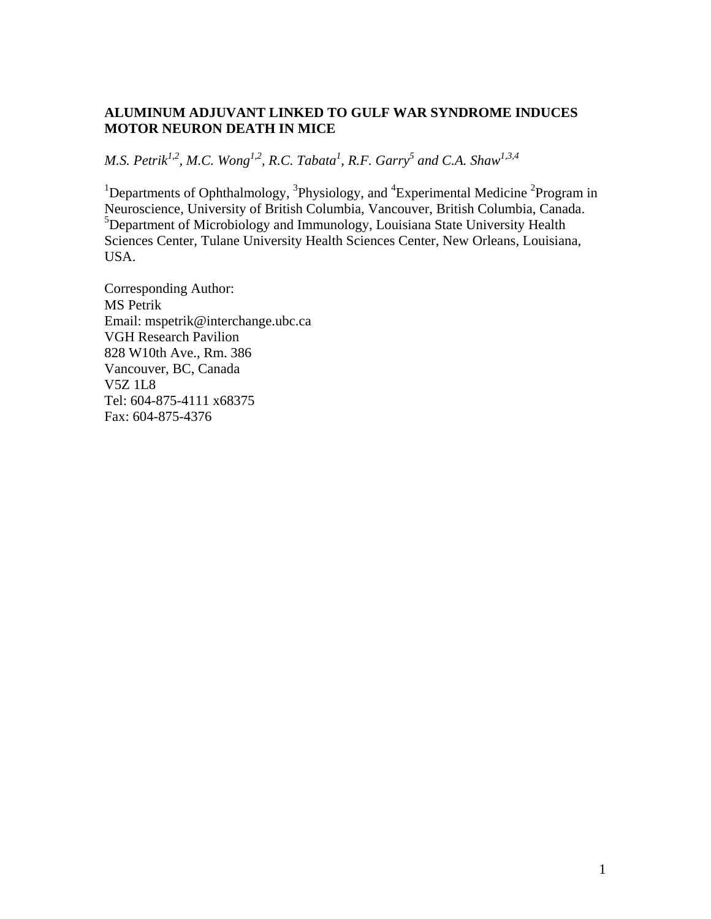# **ALUMINUM ADJUVANT LINKED TO GULF WAR SYNDROME INDUCES MOTOR NEURON DEATH IN MICE**

*M.S. Petrik<sup>1,2</sup>, M.C. Wong<sup>1,2</sup>, R.C. Tabata<sup>1</sup>, R.F. Garry<sup>5</sup> and C.A. Shaw<sup>1,3,4</sup>* 

<sup>1</sup>Departments of Ophthalmology, <sup>3</sup>Physiology, and <sup>4</sup>Experimental Medicine <sup>2</sup>Program in Neuroscience, University of British Columbia, Vancouver, British Columbia, Canada. <sup>5</sup>Department of Microbiology and Immunology, Louisiana State University Health Sciences Center, Tulane University Health Sciences Center, New Orleans, Louisiana, USA.

Corresponding Author: MS Petrik Email: mspetrik@interchange.ubc.ca VGH Research Pavilion 828 W10th Ave., Rm. 386 Vancouver, BC, Canada V5Z 1L8 Tel: 604-875-4111 x68375 Fax: 604-875-4376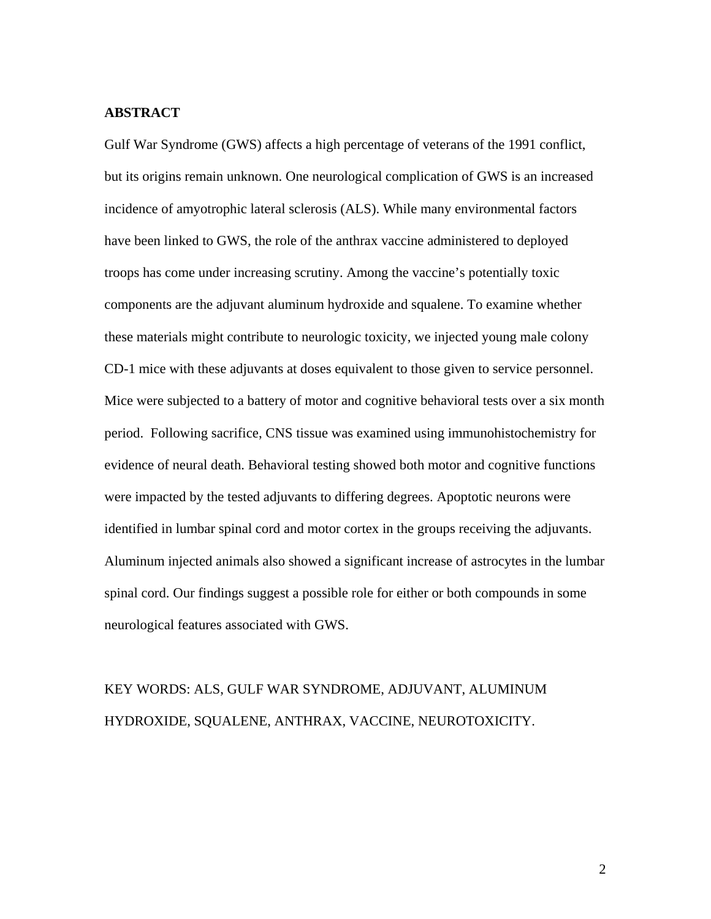# **ABSTRACT**

Gulf War Syndrome (GWS) affects a high percentage of veterans of the 1991 conflict, but its origins remain unknown. One neurological complication of GWS is an increased incidence of amyotrophic lateral sclerosis (ALS). While many environmental factors have been linked to GWS, the role of the anthrax vaccine administered to deployed troops has come under increasing scrutiny. Among the vaccine's potentially toxic components are the adjuvant aluminum hydroxide and squalene. To examine whether these materials might contribute to neurologic toxicity, we injected young male colony CD-1 mice with these adjuvants at doses equivalent to those given to service personnel. Mice were subjected to a battery of motor and cognitive behavioral tests over a six month period. Following sacrifice, CNS tissue was examined using immunohistochemistry for evidence of neural death. Behavioral testing showed both motor and cognitive functions were impacted by the tested adjuvants to differing degrees. Apoptotic neurons were identified in lumbar spinal cord and motor cortex in the groups receiving the adjuvants. Aluminum injected animals also showed a significant increase of astrocytes in the lumbar spinal cord. Our findings suggest a possible role for either or both compounds in some neurological features associated with GWS.

# KEY WORDS: ALS, GULF WAR SYNDROME, ADJUVANT, ALUMINUM HYDROXIDE, SQUALENE, ANTHRAX, VACCINE, NEUROTOXICITY.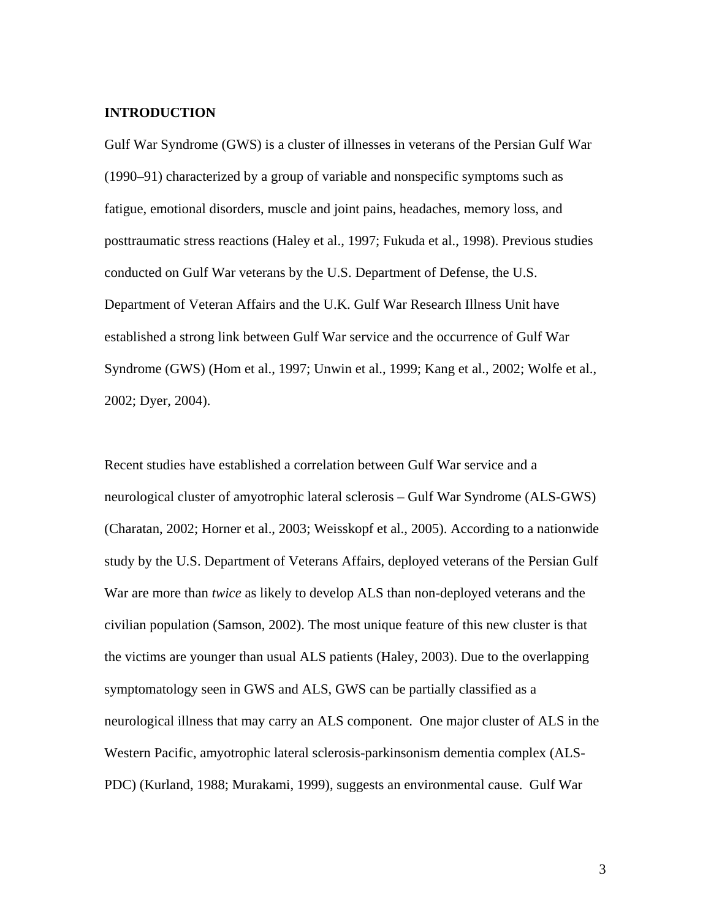# **INTRODUCTION**

Gulf War Syndrome (GWS) is a cluster of illnesses in veterans of the Persian Gulf War (1990–91) characterized by a group of variable and nonspecific symptoms such as fatigue, emotional disorders, muscle and joint pains, headaches, memory loss, and posttraumatic stress reactions (Haley et al., 1997; Fukuda et al., 1998). Previous studies conducted on Gulf War veterans by the U.S. Department of Defense, the U.S. Department of Veteran Affairs and the U.K. Gulf War Research Illness Unit have established a strong link between Gulf War service and the occurrence of Gulf War Syndrome (GWS) (Hom et al., 1997; Unwin et al., 1999; Kang et al., 2002; Wolfe et al., 2002; Dyer, 2004).

Recent studies have established a correlation between Gulf War service and a neurological cluster of amyotrophic lateral sclerosis – Gulf War Syndrome (ALS-GWS) (Charatan, 2002; Horner et al., 2003; Weisskopf et al., 2005). According to a nationwide study by the U.S. Department of Veterans Affairs, deployed veterans of the Persian Gulf War are more than *twice* as likely to develop ALS than non-deployed veterans and the civilian population (Samson, 2002). The most unique feature of this new cluster is that the victims are younger than usual ALS patients (Haley, 2003). Due to the overlapping symptomatology seen in GWS and ALS, GWS can be partially classified as a neurological illness that may carry an ALS component. One major cluster of ALS in the Western Pacific, amyotrophic lateral sclerosis-parkinsonism dementia complex (ALS-PDC) (Kurland, 1988; Murakami, 1999), suggests an environmental cause. Gulf War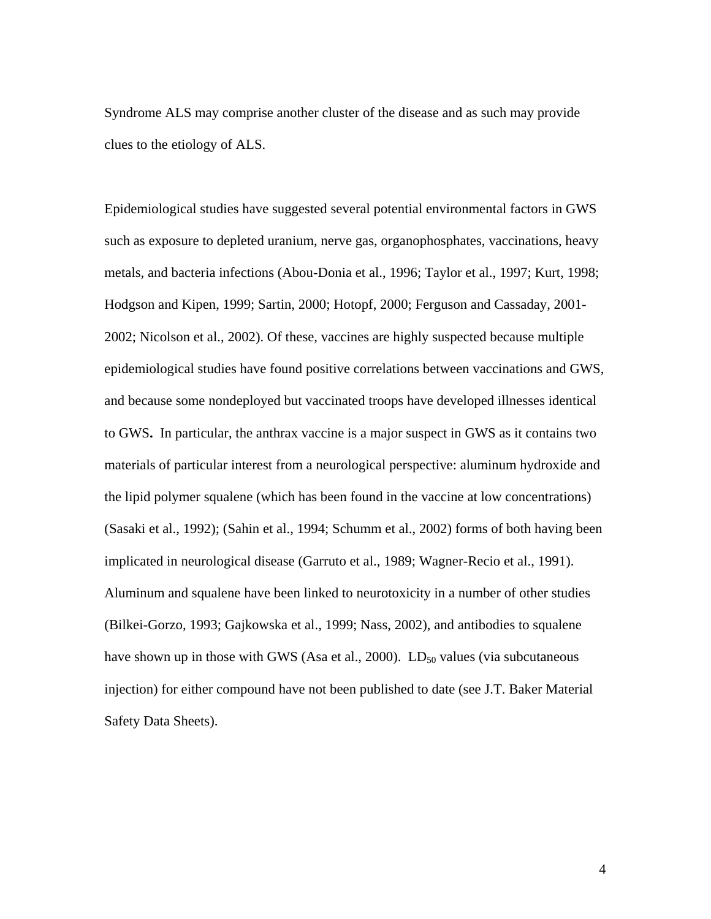Syndrome ALS may comprise another cluster of the disease and as such may provide clues to the etiology of ALS.

Epidemiological studies have suggested several potential environmental factors in GWS such as exposure to depleted uranium, nerve gas, organophosphates, vaccinations, heavy metals, and bacteria infections (Abou-Donia et al., 1996; Taylor et al., 1997; Kurt, 1998; Hodgson and Kipen, 1999; Sartin, 2000; Hotopf, 2000; Ferguson and Cassaday, 2001- 2002; Nicolson et al., 2002). Of these, vaccines are highly suspected because multiple epidemiological studies have found positive correlations between vaccinations and GWS, and because some nondeployed but vaccinated troops have developed illnesses identical to GWS**.** In particular, the anthrax vaccine is a major suspect in GWS as it contains two materials of particular interest from a neurological perspective: aluminum hydroxide and the lipid polymer squalene (which has been found in the vaccine at low concentrations) (Sasaki et al., 1992); (Sahin et al., 1994; Schumm et al., 2002) forms of both having been implicated in neurological disease (Garruto et al., 1989; Wagner-Recio et al., 1991). Aluminum and squalene have been linked to neurotoxicity in a number of other studies (Bilkei-Gorzo, 1993; Gajkowska et al., 1999; Nass, 2002), and antibodies to squalene have shown up in those with GWS (Asa et al., 2000).  $LD_{50}$  values (via subcutaneous injection) for either compound have not been published to date (see J.T. Baker Material Safety Data Sheets).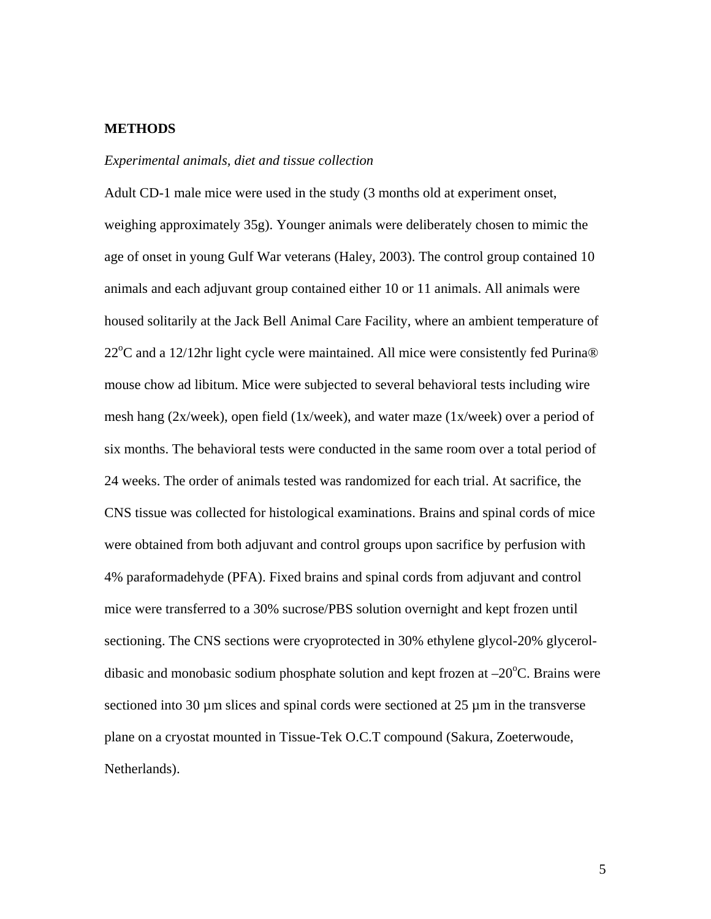# **METHODS**

### *Experimental animals, diet and tissue collection*

Adult CD-1 male mice were used in the study (3 months old at experiment onset, weighing approximately 35g). Younger animals were deliberately chosen to mimic the age of onset in young Gulf War veterans (Haley, 2003). The control group contained 10 animals and each adjuvant group contained either 10 or 11 animals. All animals were housed solitarily at the Jack Bell Animal Care Facility, where an ambient temperature of 22°C and a 12/12hr light cycle were maintained. All mice were consistently fed Purina® mouse chow ad libitum. Mice were subjected to several behavioral tests including wire mesh hang (2x/week), open field (1x/week), and water maze (1x/week) over a period of six months. The behavioral tests were conducted in the same room over a total period of 24 weeks. The order of animals tested was randomized for each trial. At sacrifice, the CNS tissue was collected for histological examinations. Brains and spinal cords of mice were obtained from both adjuvant and control groups upon sacrifice by perfusion with 4% paraformadehyde (PFA). Fixed brains and spinal cords from adjuvant and control mice were transferred to a 30% sucrose/PBS solution overnight and kept frozen until sectioning. The CNS sections were cryoprotected in 30% ethylene glycol-20% glyceroldibasic and monobasic sodium phosphate solution and kept frozen at  $-20^{\circ}$ C. Brains were sectioned into 30  $\mu$ m slices and spinal cords were sectioned at 25  $\mu$ m in the transverse plane on a cryostat mounted in Tissue-Tek O.C.T compound (Sakura, Zoeterwoude, Netherlands).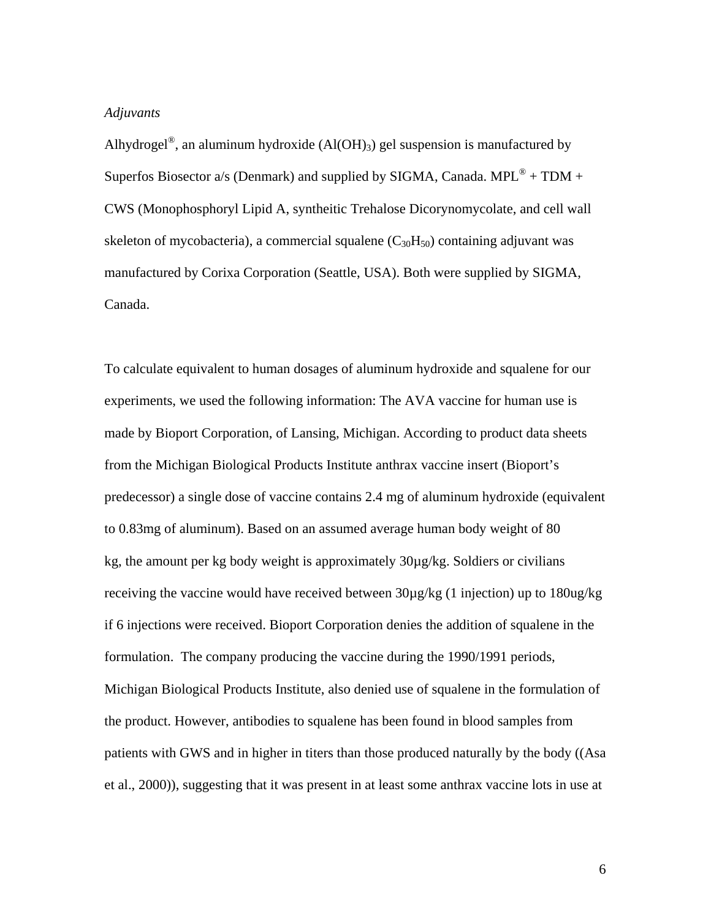### *Adjuvants*

Alhydrogel<sup>®</sup>, an aluminum hydroxide (Al(OH)<sub>3</sub>) gel suspension is manufactured by Superfos Biosector a/s (Denmark) and supplied by SIGMA, Canada. MPL<sup>®</sup> + TDM + CWS (Monophosphoryl Lipid A, syntheitic Trehalose Dicorynomycolate, and cell wall skeleton of mycobacteria), a commercial squalene  $(C_{30}H_{50})$  containing adjuvant was manufactured by Corixa Corporation (Seattle, USA). Both were supplied by SIGMA, Canada.

To calculate equivalent to human dosages of aluminum hydroxide and squalene for our experiments, we used the following information: The AVA vaccine for human use is made by Bioport Corporation, of Lansing, Michigan. According to product data sheets from the Michigan Biological Products Institute anthrax vaccine insert (Bioport's predecessor) a single dose of vaccine contains 2.4 mg of aluminum hydroxide (equivalent to 0.83mg of aluminum). Based on an assumed average human body weight of 80 kg, the amount per kg body weight is approximately 30µg/kg. Soldiers or civilians receiving the vaccine would have received between 30µg/kg (1 injection) up to 180ug/kg if 6 injections were received. Bioport Corporation denies the addition of squalene in the formulation. The company producing the vaccine during the 1990/1991 periods, Michigan Biological Products Institute, also denied use of squalene in the formulation of the product. However, antibodies to squalene has been found in blood samples from patients with GWS and in higher in titers than those produced naturally by the body ((Asa et al., 2000)), suggesting that it was present in at least some anthrax vaccine lots in use at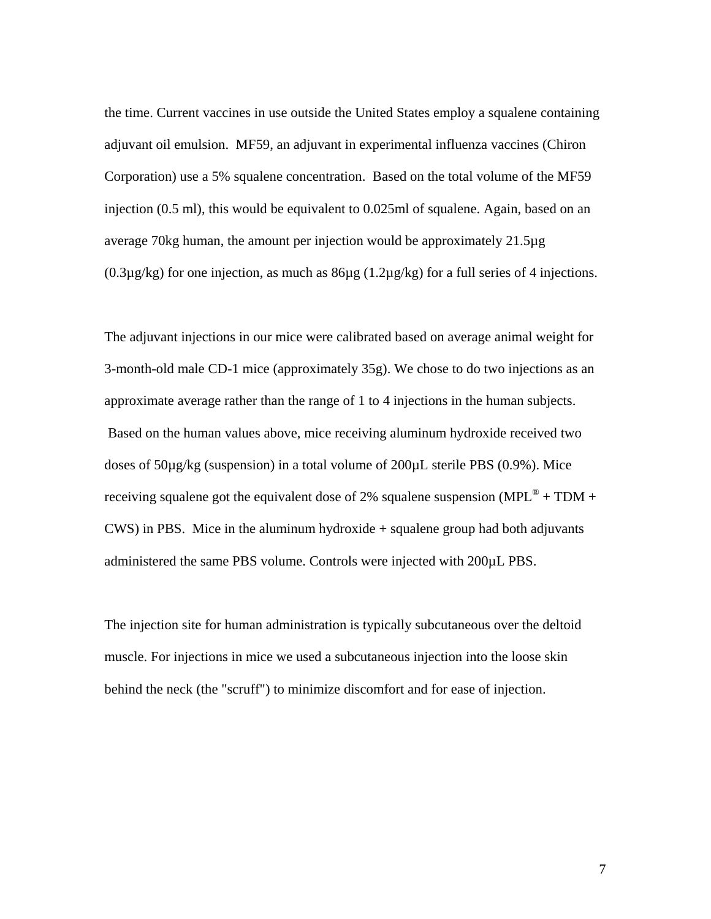the time. Current vaccines in use outside the United States employ a squalene containing adjuvant oil emulsion. MF59, an adjuvant in experimental influenza vaccines (Chiron Corporation) use a 5% squalene concentration. Based on the total volume of the MF59 injection (0.5 ml), this would be equivalent to 0.025ml of squalene. Again, based on an average 70kg human, the amount per injection would be approximately 21.5µg  $(0.3\mu g/kg)$  for one injection, as much as  $86\mu g (1.2\mu g/kg)$  for a full series of 4 injections.

The adjuvant injections in our mice were calibrated based on average animal weight for 3-month-old male CD-1 mice (approximately 35g). We chose to do two injections as an approximate average rather than the range of 1 to 4 injections in the human subjects. Based on the human values above, mice receiving aluminum hydroxide received two doses of 50µg/kg (suspension) in a total volume of 200µL sterile PBS (0.9%). Mice receiving squalene got the equivalent dose of 2% squalene suspension (MPL<sup>®</sup> + TDM +  $CWS$ ) in PBS. Mice in the aluminum hydroxide  $+$  squalene group had both adjuvants administered the same PBS volume. Controls were injected with 200µL PBS.

The injection site for human administration is typically subcutaneous over the deltoid muscle. For injections in mice we used a subcutaneous injection into the loose skin behind the neck (the "scruff") to minimize discomfort and for ease of injection.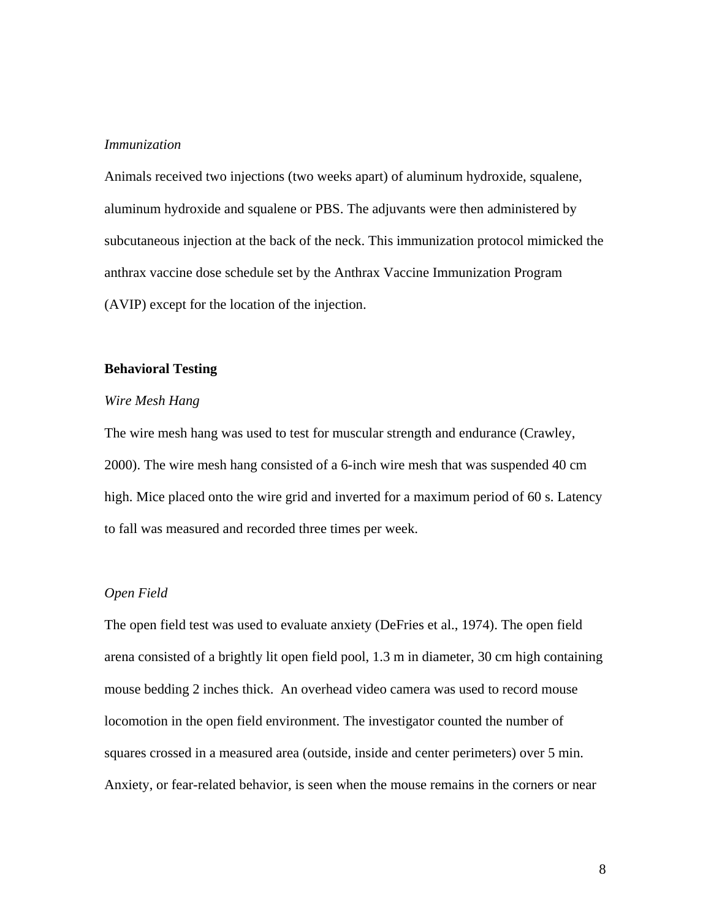# *Immunization*

Animals received two injections (two weeks apart) of aluminum hydroxide, squalene, aluminum hydroxide and squalene or PBS. The adjuvants were then administered by subcutaneous injection at the back of the neck. This immunization protocol mimicked the anthrax vaccine dose schedule set by the Anthrax Vaccine Immunization Program (AVIP) except for the location of the injection.

### **Behavioral Testing**

# *Wire Mesh Hang*

The wire mesh hang was used to test for muscular strength and endurance (Crawley, 2000). The wire mesh hang consisted of a 6-inch wire mesh that was suspended 40 cm high. Mice placed onto the wire grid and inverted for a maximum period of 60 s. Latency to fall was measured and recorded three times per week.

# *Open Field*

The open field test was used to evaluate anxiety (DeFries et al., 1974). The open field arena consisted of a brightly lit open field pool, 1.3 m in diameter, 30 cm high containing mouse bedding 2 inches thick. An overhead video camera was used to record mouse locomotion in the open field environment. The investigator counted the number of squares crossed in a measured area (outside, inside and center perimeters) over 5 min. Anxiety, or fear-related behavior, is seen when the mouse remains in the corners or near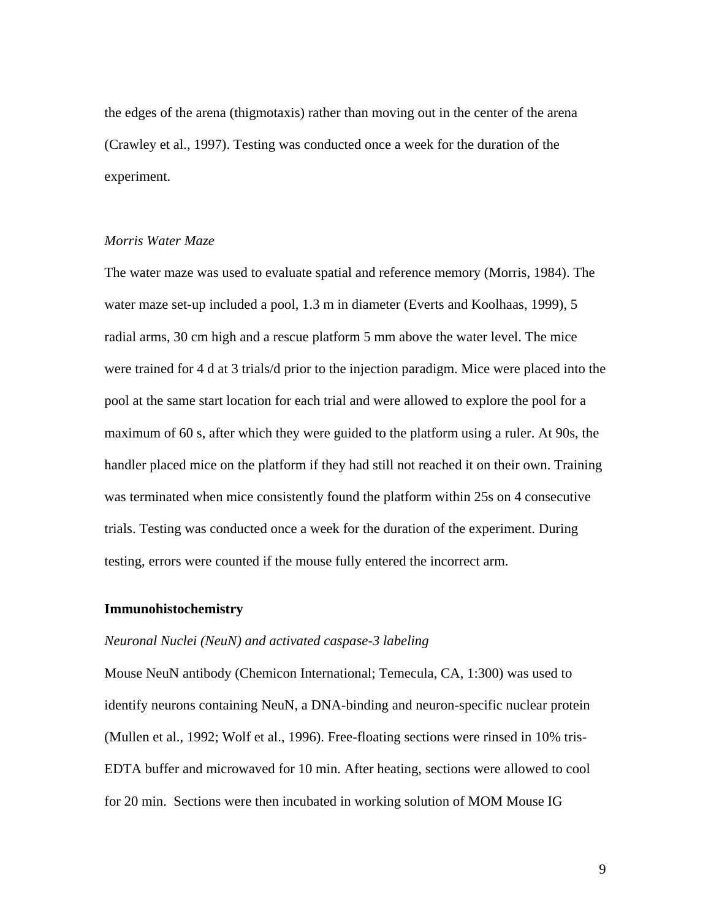the edges of the arena (thigmotaxis) rather than moving out in the center of the arena (Crawley et al., 1997). Testing was conducted once a week for the duration of the experiment.

### *Morris Water Maze*

The water maze was used to evaluate spatial and reference memory (Morris, 1984). The water maze set-up included a pool, 1.3 m in diameter (Everts and Koolhaas, 1999), 5 radial arms, 30 cm high and a rescue platform 5 mm above the water level. The mice were trained for 4 d at 3 trials/d prior to the injection paradigm. Mice were placed into the pool at the same start location for each trial and were allowed to explore the pool for a maximum of 60 s, after which they were guided to the platform using a ruler. At 90s, the handler placed mice on the platform if they had still not reached it on their own. Training was terminated when mice consistently found the platform within 25s on 4 consecutive trials. Testing was conducted once a week for the duration of the experiment. During testing, errors were counted if the mouse fully entered the incorrect arm.

### **Immunohistochemistry**

## *Neuronal Nuclei (NeuN) and activated caspase-3 labeling*

Mouse NeuN antibody (Chemicon International; Temecula, CA, 1:300) was used to identify neurons containing NeuN, a DNA-binding and neuron-specific nuclear protein (Mullen et al., 1992; Wolf et al., 1996). Free-floating sections were rinsed in 10% tris-EDTA buffer and microwaved for 10 min. After heating, sections were allowed to cool for 20 min. Sections were then incubated in working solution of MOM Mouse IG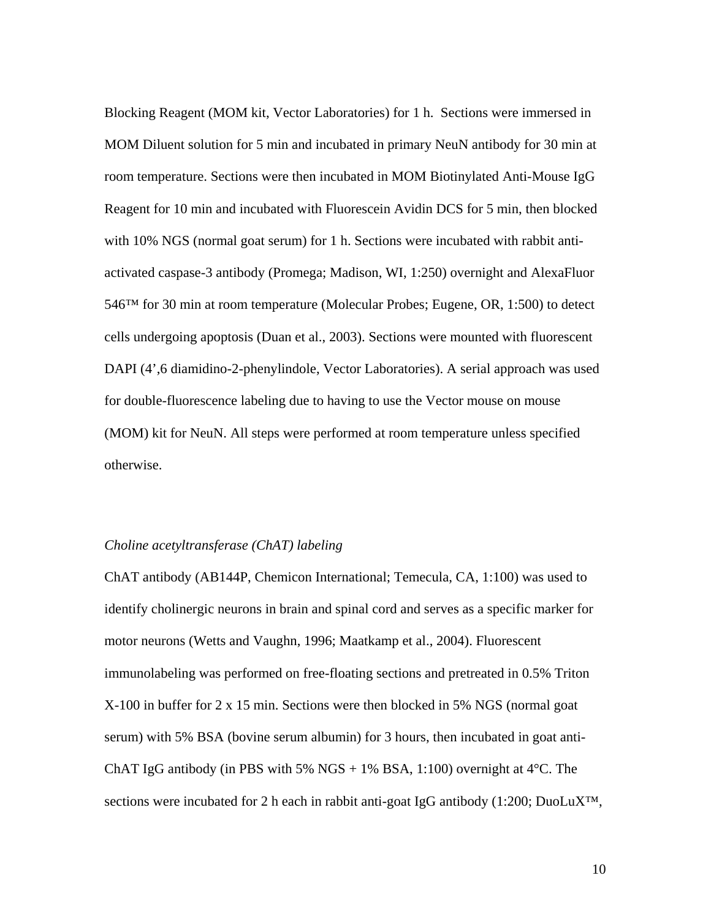Blocking Reagent (MOM kit, Vector Laboratories) for 1 h. Sections were immersed in MOM Diluent solution for 5 min and incubated in primary NeuN antibody for 30 min at room temperature. Sections were then incubated in MOM Biotinylated Anti-Mouse IgG Reagent for 10 min and incubated with Fluorescein Avidin DCS for 5 min, then blocked with 10% NGS (normal goat serum) for 1 h. Sections were incubated with rabbit antiactivated caspase-3 antibody (Promega; Madison, WI, 1:250) overnight and AlexaFluor 546™ for 30 min at room temperature (Molecular Probes; Eugene, OR, 1:500) to detect cells undergoing apoptosis (Duan et al., 2003). Sections were mounted with fluorescent DAPI (4',6 diamidino-2-phenylindole, Vector Laboratories). A serial approach was used for double-fluorescence labeling due to having to use the Vector mouse on mouse (MOM) kit for NeuN. All steps were performed at room temperature unless specified otherwise.

# *Choline acetyltransferase (ChAT) labeling*

ChAT antibody (AB144P, Chemicon International; Temecula, CA, 1:100) was used to identify cholinergic neurons in brain and spinal cord and serves as a specific marker for motor neurons (Wetts and Vaughn, 1996; Maatkamp et al., 2004). Fluorescent immunolabeling was performed on free-floating sections and pretreated in 0.5% Triton X-100 in buffer for 2 x 15 min. Sections were then blocked in 5% NGS (normal goat serum) with 5% BSA (bovine serum albumin) for 3 hours, then incubated in goat anti-ChAT IgG antibody (in PBS with 5%  $NGS + 1%$  BSA, 1:100) overnight at 4<sup>o</sup>C. The sections were incubated for 2 h each in rabbit anti-goat IgG antibody  $(1:200; Du0LUX^{TM})$ ,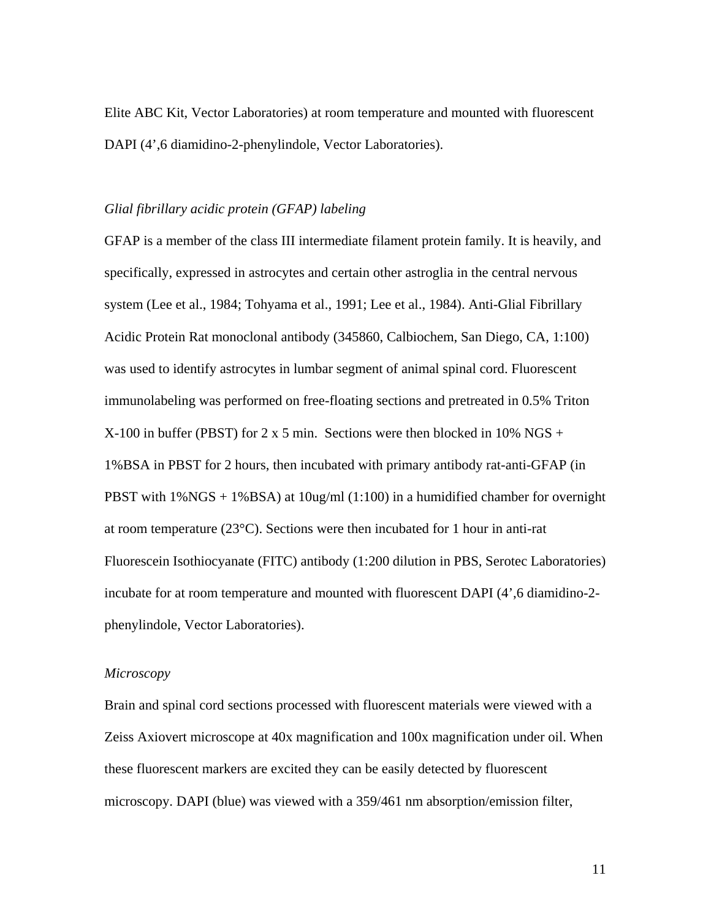Elite ABC Kit, Vector Laboratories) at room temperature and mounted with fluorescent DAPI (4',6 diamidino-2-phenylindole, Vector Laboratories).

#### *Glial fibrillary acidic protein (GFAP) labeling*

GFAP is a member of the class III intermediate filament protein family. It is heavily, and specifically, expressed in astrocytes and certain other astroglia in the central nervous system (Lee et al., 1984; Tohyama et al., 1991; Lee et al., 1984). Anti-Glial Fibrillary Acidic Protein Rat monoclonal antibody (345860, Calbiochem, San Diego, CA, 1:100) was used to identify astrocytes in lumbar segment of animal spinal cord. Fluorescent immunolabeling was performed on free-floating sections and pretreated in 0.5% Triton  $X-100$  in buffer (PBST) for 2 x 5 min. Sections were then blocked in 10% NGS + 1%BSA in PBST for 2 hours, then incubated with primary antibody rat-anti-GFAP (in PBST with 1%NGS + 1%BSA) at 10ug/ml (1:100) in a humidified chamber for overnight at room temperature (23°C). Sections were then incubated for 1 hour in anti-rat Fluorescein Isothiocyanate (FITC) antibody (1:200 dilution in PBS, Serotec Laboratories) incubate for at room temperature and mounted with fluorescent DAPI (4',6 diamidino-2 phenylindole, Vector Laboratories).

#### *Microscopy*

Brain and spinal cord sections processed with fluorescent materials were viewed with a Zeiss Axiovert microscope at 40x magnification and 100x magnification under oil. When these fluorescent markers are excited they can be easily detected by fluorescent microscopy. DAPI (blue) was viewed with a 359/461 nm absorption/emission filter,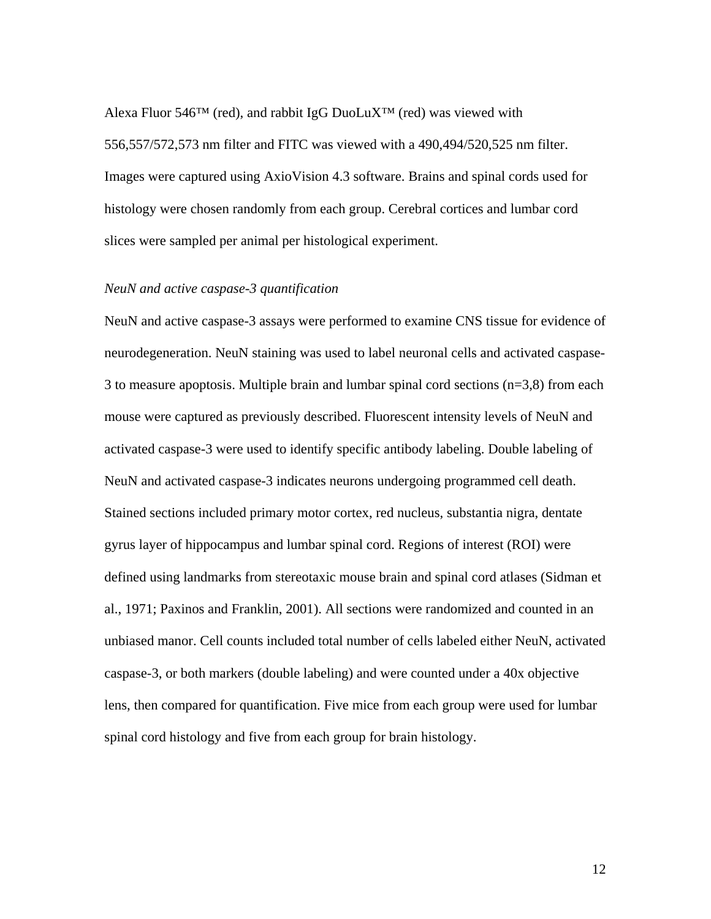Alexa Fluor 546<sup>TM</sup> (red), and rabbit IgG DuoLuX<sup>TM</sup> (red) was viewed with 556,557/572,573 nm filter and FITC was viewed with a 490,494/520,525 nm filter. Images were captured using AxioVision 4.3 software. Brains and spinal cords used for histology were chosen randomly from each group. Cerebral cortices and lumbar cord slices were sampled per animal per histological experiment.

# *NeuN and active caspase-3 quantification*

NeuN and active caspase-3 assays were performed to examine CNS tissue for evidence of neurodegeneration. NeuN staining was used to label neuronal cells and activated caspase-3 to measure apoptosis. Multiple brain and lumbar spinal cord sections (n=3,8) from each mouse were captured as previously described. Fluorescent intensity levels of NeuN and activated caspase-3 were used to identify specific antibody labeling. Double labeling of NeuN and activated caspase-3 indicates neurons undergoing programmed cell death. Stained sections included primary motor cortex, red nucleus, substantia nigra, dentate gyrus layer of hippocampus and lumbar spinal cord. Regions of interest (ROI) were defined using landmarks from stereotaxic mouse brain and spinal cord atlases (Sidman et al., 1971; Paxinos and Franklin, 2001). All sections were randomized and counted in an unbiased manor. Cell counts included total number of cells labeled either NeuN, activated caspase-3, or both markers (double labeling) and were counted under a 40x objective lens, then compared for quantification. Five mice from each group were used for lumbar spinal cord histology and five from each group for brain histology.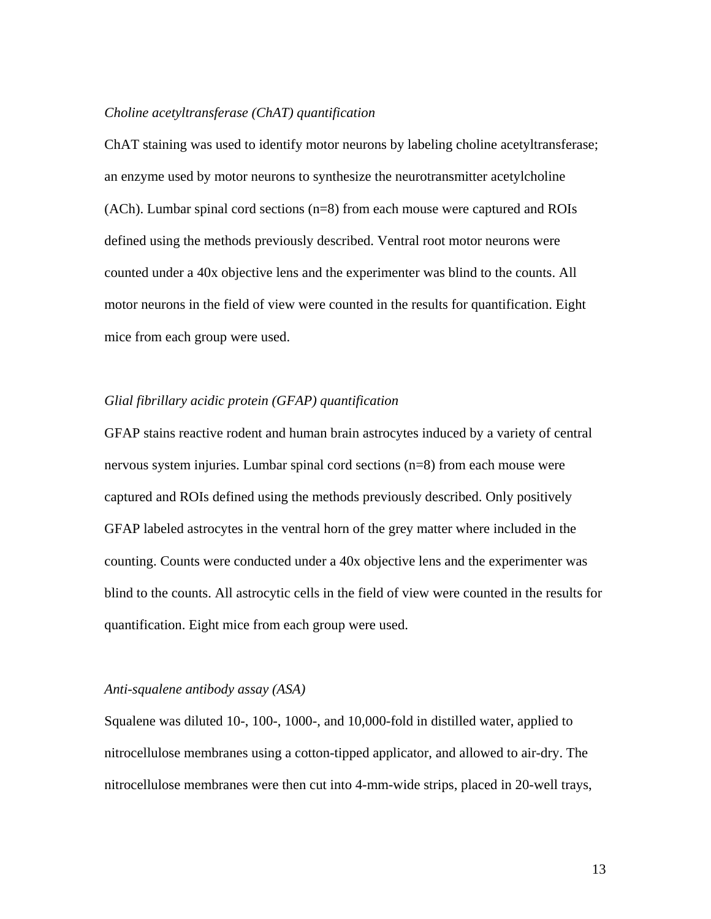#### *Choline acetyltransferase (ChAT) quantification*

ChAT staining was used to identify motor neurons by labeling choline acetyltransferase; an enzyme used by motor neurons to synthesize the neurotransmitter acetylcholine (ACh). Lumbar spinal cord sections (n=8) from each mouse were captured and ROIs defined using the methods previously described. Ventral root motor neurons were counted under a 40x objective lens and the experimenter was blind to the counts. All motor neurons in the field of view were counted in the results for quantification. Eight mice from each group were used.

# *Glial fibrillary acidic protein (GFAP) quantification*

GFAP stains reactive rodent and human brain astrocytes induced by a variety of central nervous system injuries. Lumbar spinal cord sections (n=8) from each mouse were captured and ROIs defined using the methods previously described. Only positively GFAP labeled astrocytes in the ventral horn of the grey matter where included in the counting. Counts were conducted under a 40x objective lens and the experimenter was blind to the counts. All astrocytic cells in the field of view were counted in the results for quantification. Eight mice from each group were used.

### *Anti-squalene antibody assay (ASA)*

Squalene was diluted 10-, 100-, 1000-, and 10,000-fold in distilled water, applied to nitrocellulose membranes using a cotton-tipped applicator, and allowed to air-dry. The nitrocellulose membranes were then cut into 4-mm-wide strips, placed in 20-well trays,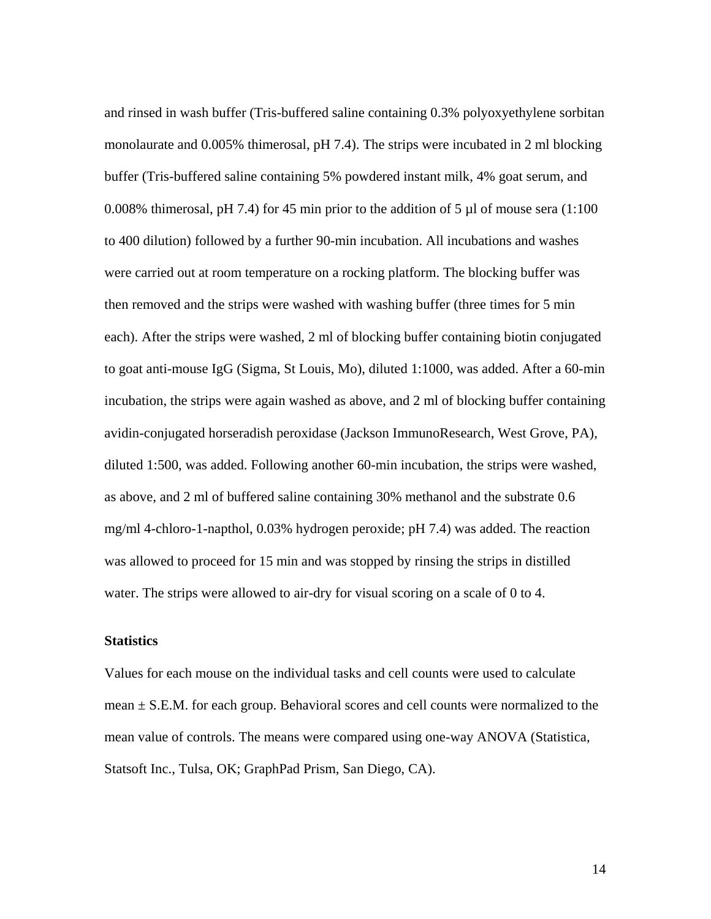and rinsed in wash buffer (Tris-buffered saline containing 0.3% polyoxyethylene sorbitan monolaurate and 0.005% thimerosal, pH 7.4). The strips were incubated in 2 ml blocking buffer (Tris-buffered saline containing 5% powdered instant milk, 4% goat serum, and 0.008% thimerosal, pH 7.4) for 45 min prior to the addition of 5  $\mu$ l of mouse sera (1:100) to 400 dilution) followed by a further 90-min incubation. All incubations and washes were carried out at room temperature on a rocking platform. The blocking buffer was then removed and the strips were washed with washing buffer (three times for 5 min each). After the strips were washed, 2 ml of blocking buffer containing biotin conjugated to goat anti-mouse IgG (Sigma, St Louis, Mo), diluted 1:1000, was added. After a 60-min incubation, the strips were again washed as above, and 2 ml of blocking buffer containing avidin-conjugated horseradish peroxidase (Jackson ImmunoResearch, West Grove, PA), diluted 1:500, was added. Following another 60-min incubation, the strips were washed, as above, and 2 ml of buffered saline containing 30% methanol and the substrate 0.6 mg/ml 4-chloro-1-napthol, 0.03% hydrogen peroxide; pH 7.4) was added. The reaction was allowed to proceed for 15 min and was stopped by rinsing the strips in distilled water. The strips were allowed to air-dry for visual scoring on a scale of 0 to 4.

## **Statistics**

Values for each mouse on the individual tasks and cell counts were used to calculate mean  $\pm$  S.E.M. for each group. Behavioral scores and cell counts were normalized to the mean value of controls. The means were compared using one-way ANOVA (Statistica, Statsoft Inc., Tulsa, OK; GraphPad Prism, San Diego, CA).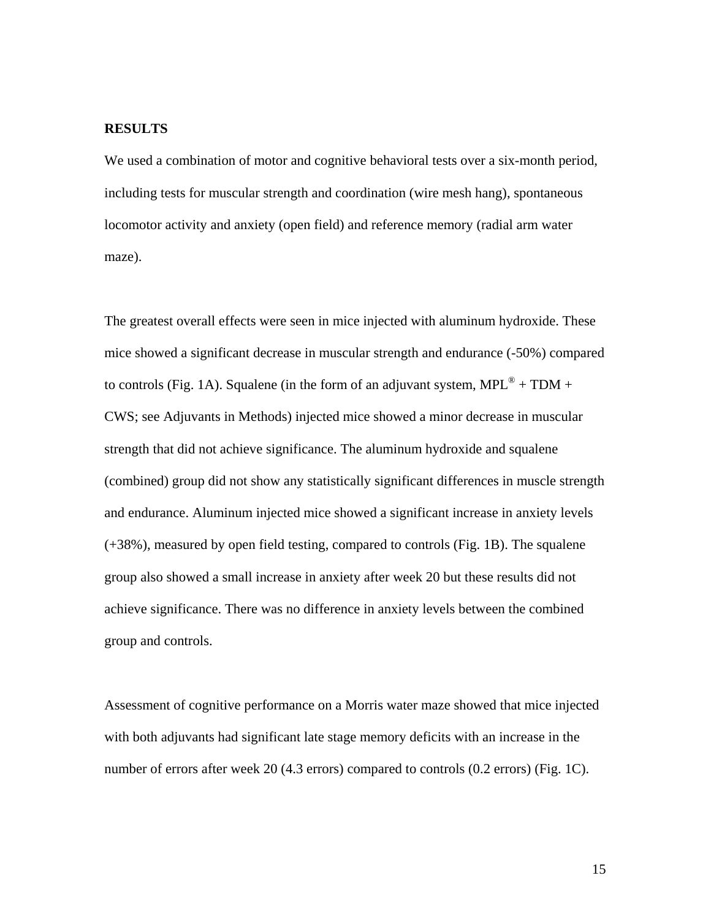# **RESULTS**

We used a combination of motor and cognitive behavioral tests over a six-month period, including tests for muscular strength and coordination (wire mesh hang), spontaneous locomotor activity and anxiety (open field) and reference memory (radial arm water maze).

The greatest overall effects were seen in mice injected with aluminum hydroxide. These mice showed a significant decrease in muscular strength and endurance (-50%) compared to controls (Fig. 1A). Squalene (in the form of an adjuvant system,  $MPL^{\circledast} + TDM +$ CWS; see Adjuvants in Methods) injected mice showed a minor decrease in muscular strength that did not achieve significance. The aluminum hydroxide and squalene (combined) group did not show any statistically significant differences in muscle strength and endurance. Aluminum injected mice showed a significant increase in anxiety levels (+38%), measured by open field testing, compared to controls (Fig. 1B). The squalene group also showed a small increase in anxiety after week 20 but these results did not achieve significance. There was no difference in anxiety levels between the combined group and controls.

Assessment of cognitive performance on a Morris water maze showed that mice injected with both adjuvants had significant late stage memory deficits with an increase in the number of errors after week 20 (4.3 errors) compared to controls (0.2 errors) (Fig. 1C).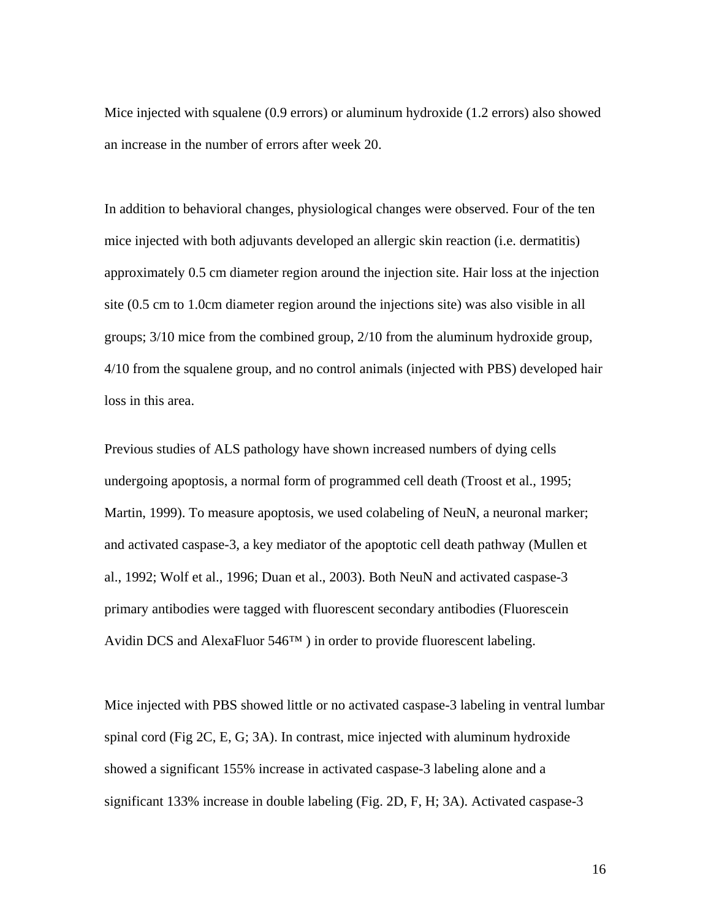Mice injected with squalene (0.9 errors) or aluminum hydroxide (1.2 errors) also showed an increase in the number of errors after week 20.

In addition to behavioral changes, physiological changes were observed. Four of the ten mice injected with both adjuvants developed an allergic skin reaction (i.e. dermatitis) approximately 0.5 cm diameter region around the injection site. Hair loss at the injection site (0.5 cm to 1.0cm diameter region around the injections site) was also visible in all groups; 3/10 mice from the combined group, 2/10 from the aluminum hydroxide group, 4/10 from the squalene group, and no control animals (injected with PBS) developed hair loss in this area.

Previous studies of ALS pathology have shown increased numbers of dying cells undergoing apoptosis, a normal form of programmed cell death (Troost et al., 1995; Martin, 1999). To measure apoptosis, we used colabeling of NeuN, a neuronal marker; and activated caspase-3, a key mediator of the apoptotic cell death pathway (Mullen et al., 1992; Wolf et al., 1996; Duan et al., 2003). Both NeuN and activated caspase-3 primary antibodies were tagged with fluorescent secondary antibodies (Fluorescein Avidin DCS and AlexaFluor 546™ ) in order to provide fluorescent labeling.

Mice injected with PBS showed little or no activated caspase-3 labeling in ventral lumbar spinal cord (Fig 2C, E, G; 3A). In contrast, mice injected with aluminum hydroxide showed a significant 155% increase in activated caspase-3 labeling alone and a significant 133% increase in double labeling (Fig. 2D, F, H; 3A). Activated caspase-3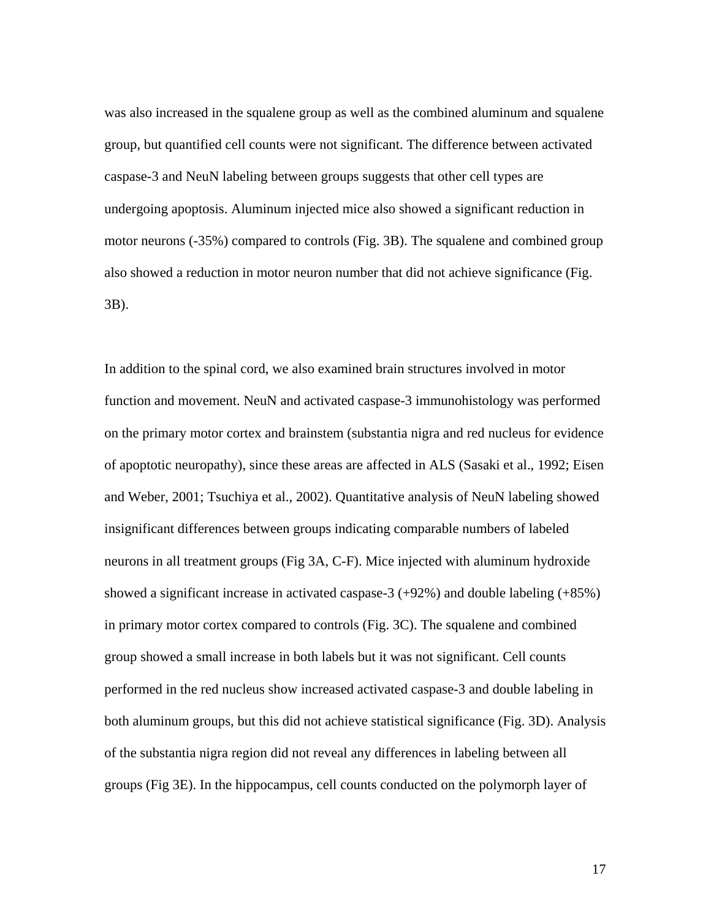was also increased in the squalene group as well as the combined aluminum and squalene group, but quantified cell counts were not significant. The difference between activated caspase-3 and NeuN labeling between groups suggests that other cell types are undergoing apoptosis. Aluminum injected mice also showed a significant reduction in motor neurons (-35%) compared to controls (Fig. 3B). The squalene and combined group also showed a reduction in motor neuron number that did not achieve significance (Fig. 3B).

In addition to the spinal cord, we also examined brain structures involved in motor function and movement. NeuN and activated caspase-3 immunohistology was performed on the primary motor cortex and brainstem (substantia nigra and red nucleus for evidence of apoptotic neuropathy), since these areas are affected in ALS (Sasaki et al., 1992; Eisen and Weber, 2001; Tsuchiya et al., 2002). Quantitative analysis of NeuN labeling showed insignificant differences between groups indicating comparable numbers of labeled neurons in all treatment groups (Fig 3A, C-F). Mice injected with aluminum hydroxide showed a significant increase in activated caspase-3 (+92%) and double labeling (+85%) in primary motor cortex compared to controls (Fig. 3C). The squalene and combined group showed a small increase in both labels but it was not significant. Cell counts performed in the red nucleus show increased activated caspase-3 and double labeling in both aluminum groups, but this did not achieve statistical significance (Fig. 3D). Analysis of the substantia nigra region did not reveal any differences in labeling between all groups (Fig 3E). In the hippocampus, cell counts conducted on the polymorph layer of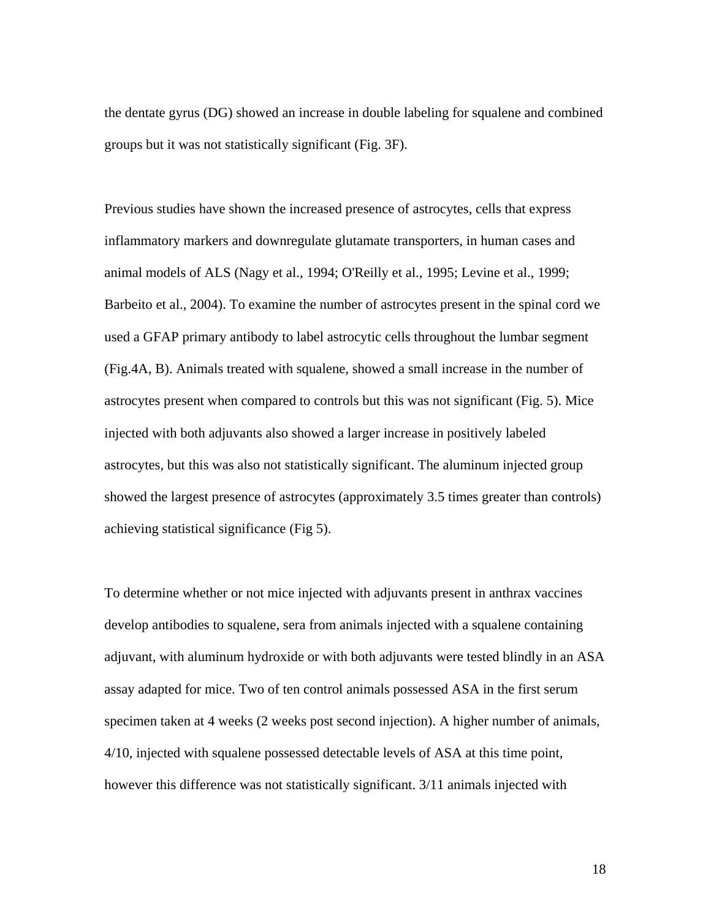the dentate gyrus (DG) showed an increase in double labeling for squalene and combined groups but it was not statistically significant (Fig. 3F).

Previous studies have shown the increased presence of astrocytes, cells that express inflammatory markers and downregulate glutamate transporters, in human cases and animal models of ALS (Nagy et al., 1994; O'Reilly et al., 1995; Levine et al., 1999; Barbeito et al., 2004). To examine the number of astrocytes present in the spinal cord we used a GFAP primary antibody to label astrocytic cells throughout the lumbar segment (Fig.4A, B). Animals treated with squalene, showed a small increase in the number of astrocytes present when compared to controls but this was not significant (Fig. 5). Mice injected with both adjuvants also showed a larger increase in positively labeled astrocytes, but this was also not statistically significant. The aluminum injected group showed the largest presence of astrocytes (approximately 3.5 times greater than controls) achieving statistical significance (Fig 5).

To determine whether or not mice injected with adjuvants present in anthrax vaccines develop antibodies to squalene, sera from animals injected with a squalene containing adjuvant, with aluminum hydroxide or with both adjuvants were tested blindly in an ASA assay adapted for mice. Two of ten control animals possessed ASA in the first serum specimen taken at 4 weeks (2 weeks post second injection). A higher number of animals, 4/10, injected with squalene possessed detectable levels of ASA at this time point, however this difference was not statistically significant. 3/11 animals injected with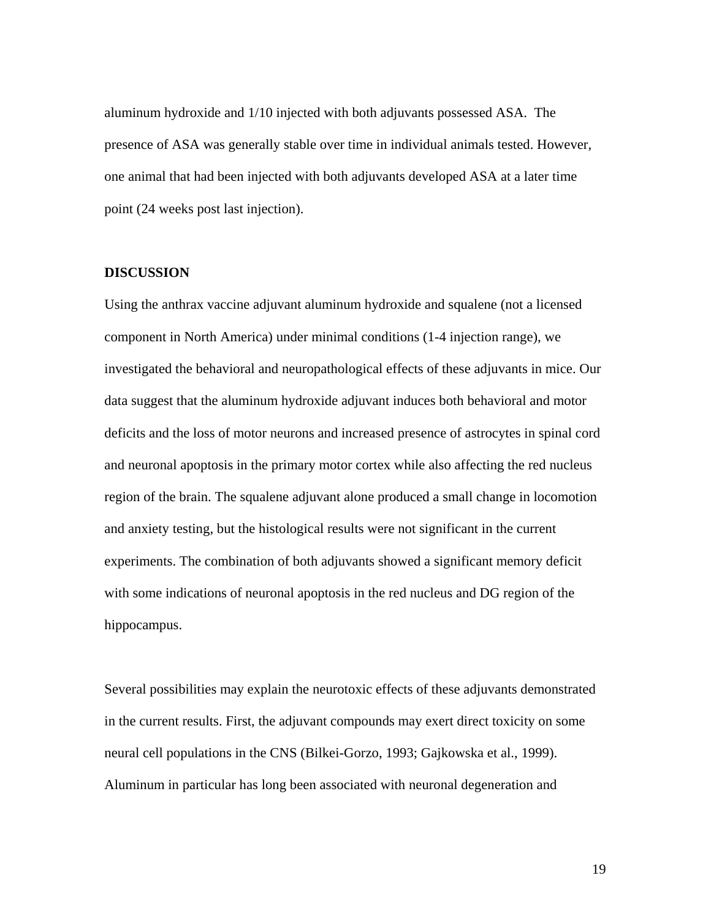aluminum hydroxide and 1/10 injected with both adjuvants possessed ASA. The presence of ASA was generally stable over time in individual animals tested. However, one animal that had been injected with both adjuvants developed ASA at a later time point (24 weeks post last injection).

# **DISCUSSION**

Using the anthrax vaccine adjuvant aluminum hydroxide and squalene (not a licensed component in North America) under minimal conditions (1-4 injection range), we investigated the behavioral and neuropathological effects of these adjuvants in mice. Our data suggest that the aluminum hydroxide adjuvant induces both behavioral and motor deficits and the loss of motor neurons and increased presence of astrocytes in spinal cord and neuronal apoptosis in the primary motor cortex while also affecting the red nucleus region of the brain. The squalene adjuvant alone produced a small change in locomotion and anxiety testing, but the histological results were not significant in the current experiments. The combination of both adjuvants showed a significant memory deficit with some indications of neuronal apoptosis in the red nucleus and DG region of the hippocampus.

Several possibilities may explain the neurotoxic effects of these adjuvants demonstrated in the current results. First, the adjuvant compounds may exert direct toxicity on some neural cell populations in the CNS (Bilkei-Gorzo, 1993; Gajkowska et al., 1999). Aluminum in particular has long been associated with neuronal degeneration and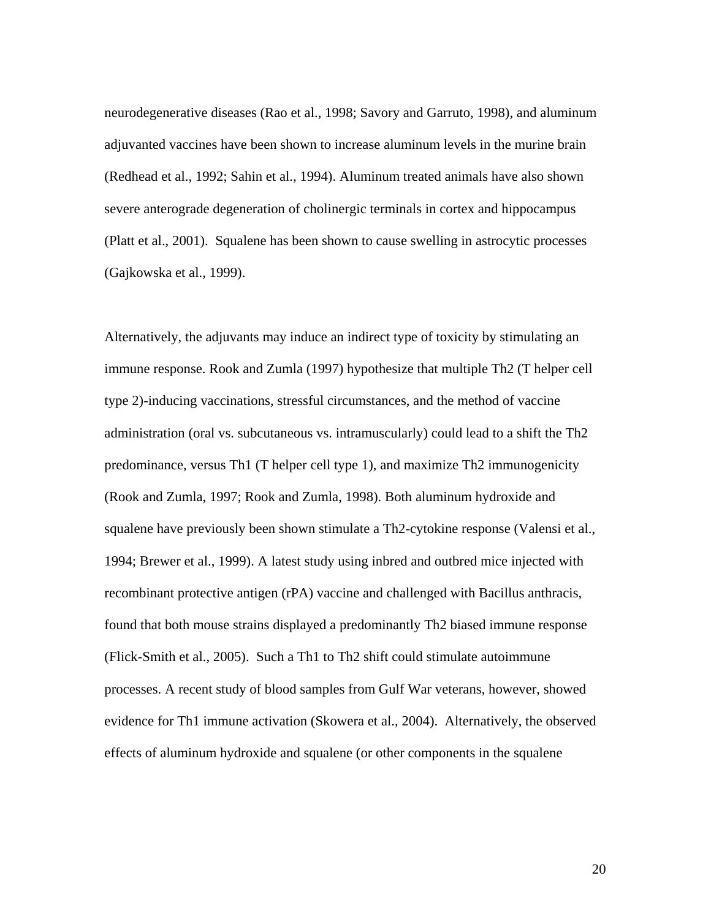neurodegenerative diseases (Rao et al., 1998; Savory and Garruto, 1998), and aluminum adjuvanted vaccines have been shown to increase aluminum levels in the murine brain (Redhead et al., 1992; Sahin et al., 1994). Aluminum treated animals have also shown severe anterograde degeneration of cholinergic terminals in cortex and hippocampus (Platt et al., 2001). Squalene has been shown to cause swelling in astrocytic processes (Gajkowska et al., 1999).

Alternatively, the adjuvants may induce an indirect type of toxicity by stimulating an immune response. Rook and Zumla (1997) hypothesize that multiple Th2 (T helper cell type 2)-inducing vaccinations, stressful circumstances, and the method of vaccine administration (oral vs. subcutaneous vs. intramuscularly) could lead to a shift the Th2 predominance, versus Th1 (T helper cell type 1), and maximize Th2 immunogenicity (Rook and Zumla, 1997; Rook and Zumla, 1998). Both aluminum hydroxide and squalene have previously been shown stimulate a Th2-cytokine response (Valensi et al., 1994; Brewer et al., 1999). A latest study using inbred and outbred mice injected with recombinant protective antigen (rPA) vaccine and challenged with Bacillus anthracis, found that both mouse strains displayed a predominantly Th2 biased immune response (Flick-Smith et al., 2005). Such a Th1 to Th2 shift could stimulate autoimmune processes. A recent study of blood samples from Gulf War veterans, however, showed evidence for Th1 immune activation (Skowera et al., 2004). Alternatively, the observed effects of aluminum hydroxide and squalene (or other components in the squalene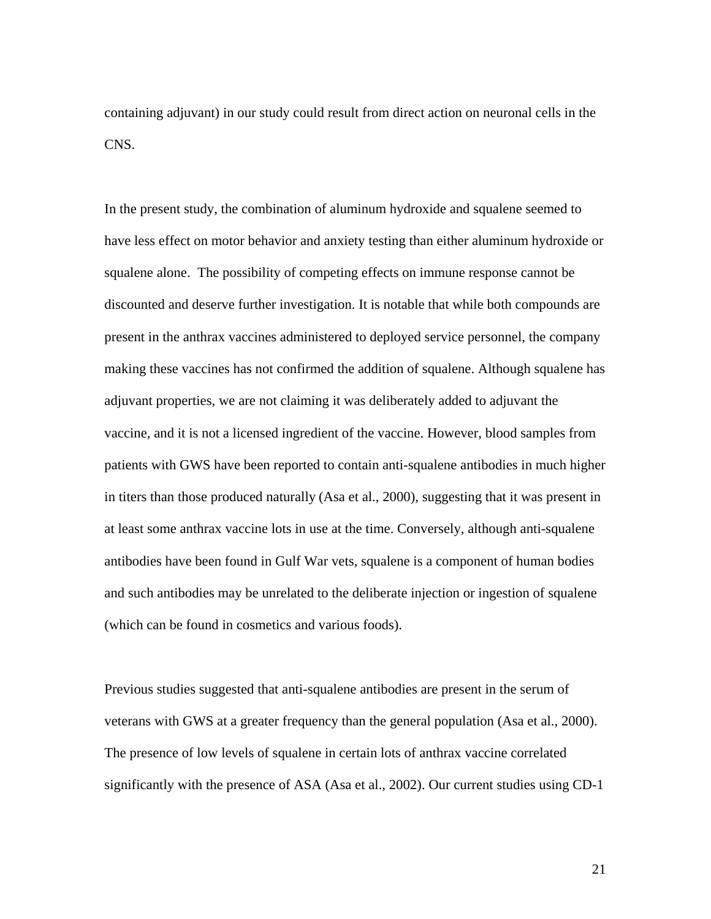containing adjuvant) in our study could result from direct action on neuronal cells in the CNS.

In the present study, the combination of aluminum hydroxide and squalene seemed to have less effect on motor behavior and anxiety testing than either aluminum hydroxide or squalene alone. The possibility of competing effects on immune response cannot be discounted and deserve further investigation. It is notable that while both compounds are present in the anthrax vaccines administered to deployed service personnel, the company making these vaccines has not confirmed the addition of squalene. Although squalene has adjuvant properties, we are not claiming it was deliberately added to adjuvant the vaccine, and it is not a licensed ingredient of the vaccine. However, blood samples from patients with GWS have been reported to contain anti-squalene antibodies in much higher in titers than those produced naturally (Asa et al., 2000), suggesting that it was present in at least some anthrax vaccine lots in use at the time. Conversely, although anti-squalene antibodies have been found in Gulf War vets, squalene is a component of human bodies and such antibodies may be unrelated to the deliberate injection or ingestion of squalene (which can be found in cosmetics and various foods).

Previous studies suggested that anti-squalene antibodies are present in the serum of veterans with GWS at a greater frequency than the general population (Asa et al., 2000). The presence of low levels of squalene in certain lots of anthrax vaccine correlated significantly with the presence of ASA (Asa et al., 2002). Our current studies using CD-1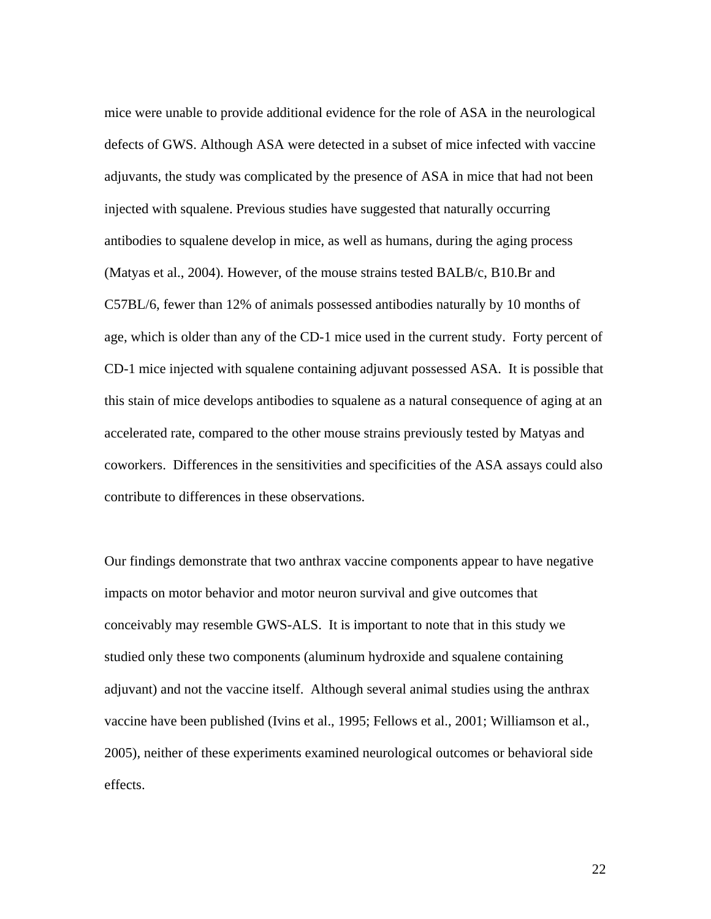mice were unable to provide additional evidence for the role of ASA in the neurological defects of GWS. Although ASA were detected in a subset of mice infected with vaccine adjuvants, the study was complicated by the presence of ASA in mice that had not been injected with squalene. Previous studies have suggested that naturally occurring antibodies to squalene develop in mice, as well as humans, during the aging process (Matyas et al., 2004). However, of the mouse strains tested BALB/c, B10.Br and C57BL/6, fewer than 12% of animals possessed antibodies naturally by 10 months of age, which is older than any of the CD-1 mice used in the current study. Forty percent of CD-1 mice injected with squalene containing adjuvant possessed ASA. It is possible that this stain of mice develops antibodies to squalene as a natural consequence of aging at an accelerated rate, compared to the other mouse strains previously tested by Matyas and coworkers. Differences in the sensitivities and specificities of the ASA assays could also contribute to differences in these observations.

Our findings demonstrate that two anthrax vaccine components appear to have negative impacts on motor behavior and motor neuron survival and give outcomes that conceivably may resemble GWS-ALS. It is important to note that in this study we studied only these two components (aluminum hydroxide and squalene containing adjuvant) and not the vaccine itself. Although several animal studies using the anthrax vaccine have been published (Ivins et al., 1995; Fellows et al., 2001; Williamson et al., 2005), neither of these experiments examined neurological outcomes or behavioral side effects.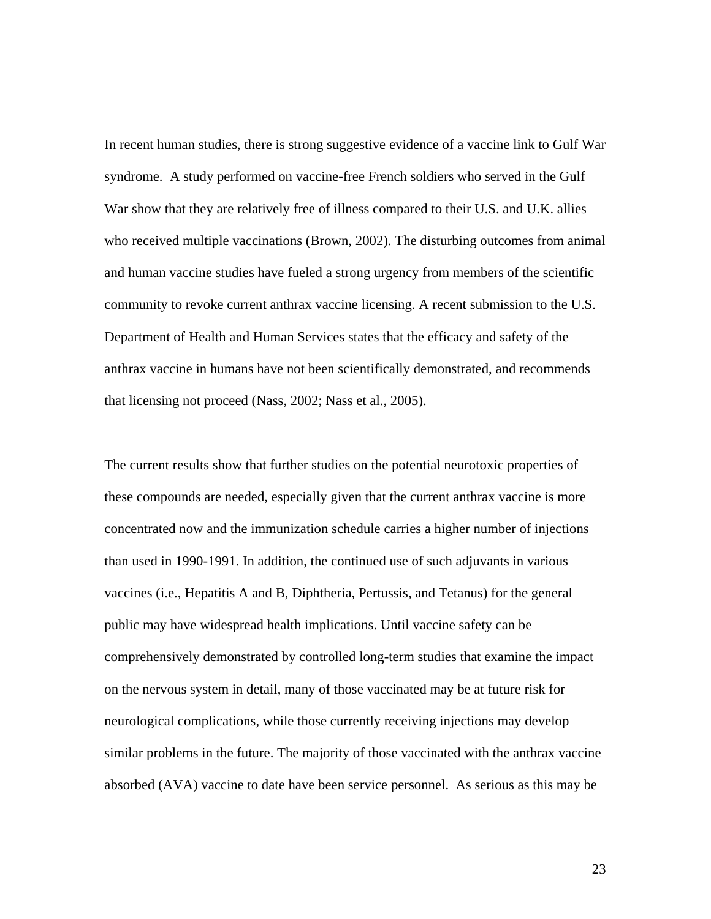In recent human studies, there is strong suggestive evidence of a vaccine link to Gulf War syndrome. A study performed on vaccine-free French soldiers who served in the Gulf War show that they are relatively free of illness compared to their U.S. and U.K. allies who received multiple vaccinations (Brown, 2002). The disturbing outcomes from animal and human vaccine studies have fueled a strong urgency from members of the scientific community to revoke current anthrax vaccine licensing. A recent submission to the U.S. Department of Health and Human Services states that the efficacy and safety of the anthrax vaccine in humans have not been scientifically demonstrated, and recommends that licensing not proceed (Nass, 2002; Nass et al., 2005).

The current results show that further studies on the potential neurotoxic properties of these compounds are needed, especially given that the current anthrax vaccine is more concentrated now and the immunization schedule carries a higher number of injections than used in 1990-1991. In addition, the continued use of such adjuvants in various vaccines (i.e., Hepatitis A and B, Diphtheria, Pertussis, and Tetanus) for the general public may have widespread health implications. Until vaccine safety can be comprehensively demonstrated by controlled long-term studies that examine the impact on the nervous system in detail, many of those vaccinated may be at future risk for neurological complications, while those currently receiving injections may develop similar problems in the future. The majority of those vaccinated with the anthrax vaccine absorbed (AVA) vaccine to date have been service personnel. As serious as this may be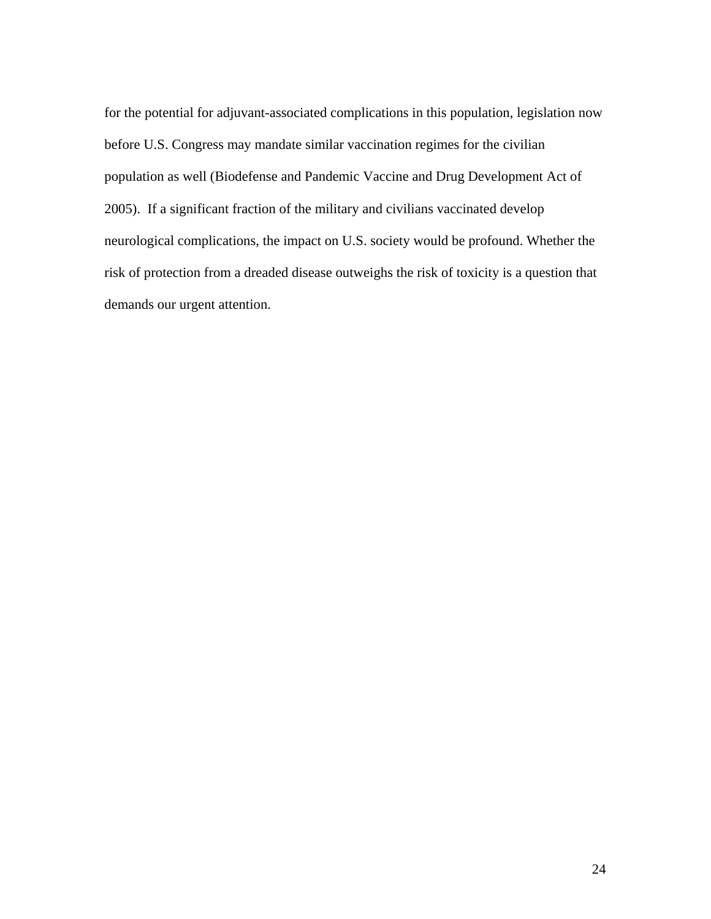for the potential for adjuvant-associated complications in this population, legislation now before U.S. Congress may mandate similar vaccination regimes for the civilian population as well (Biodefense and Pandemic Vaccine and Drug Development Act of 2005). If a significant fraction of the military and civilians vaccinated develop neurological complications, the impact on U.S. society would be profound. Whether the risk of protection from a dreaded disease outweighs the risk of toxicity is a question that demands our urgent attention.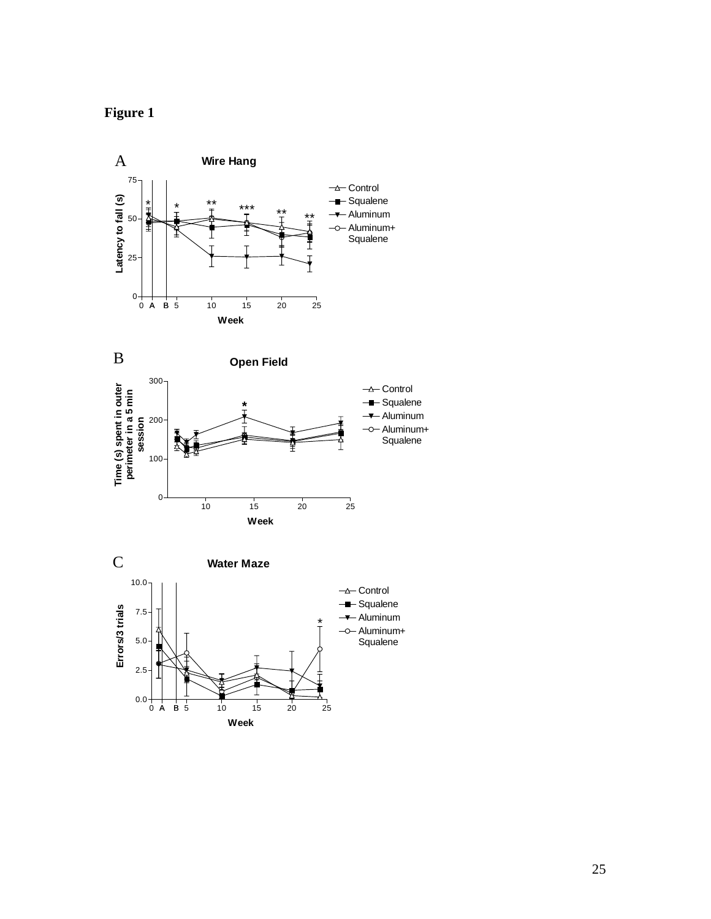



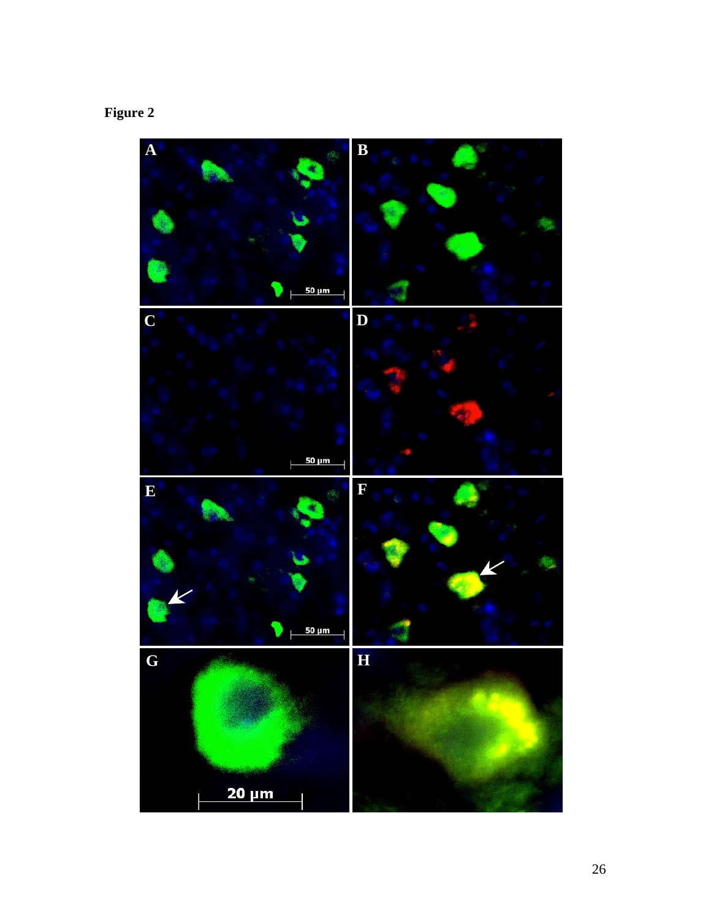# **Figure 2**

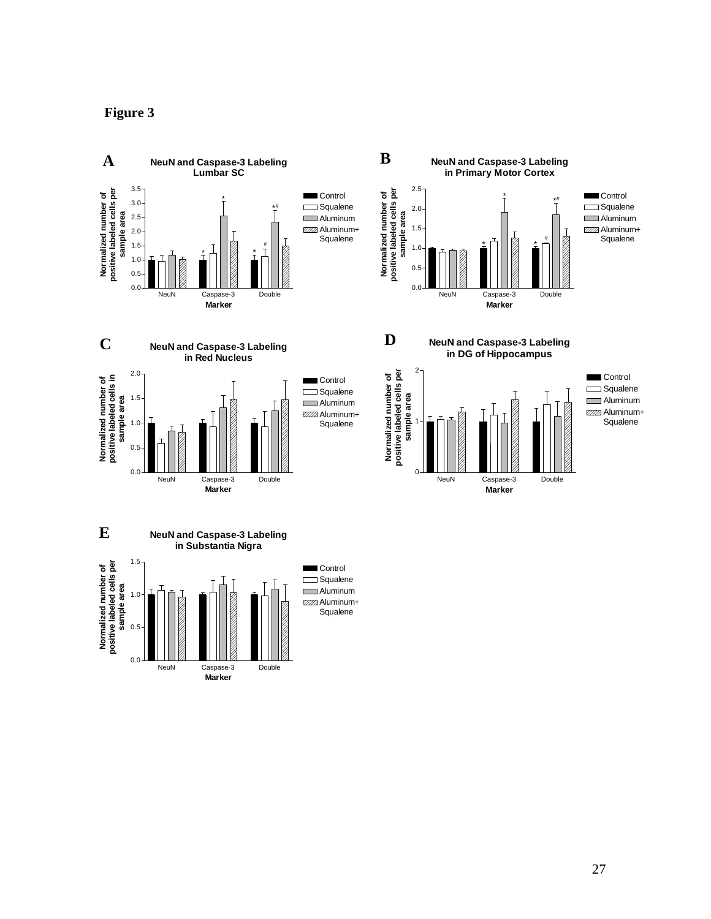

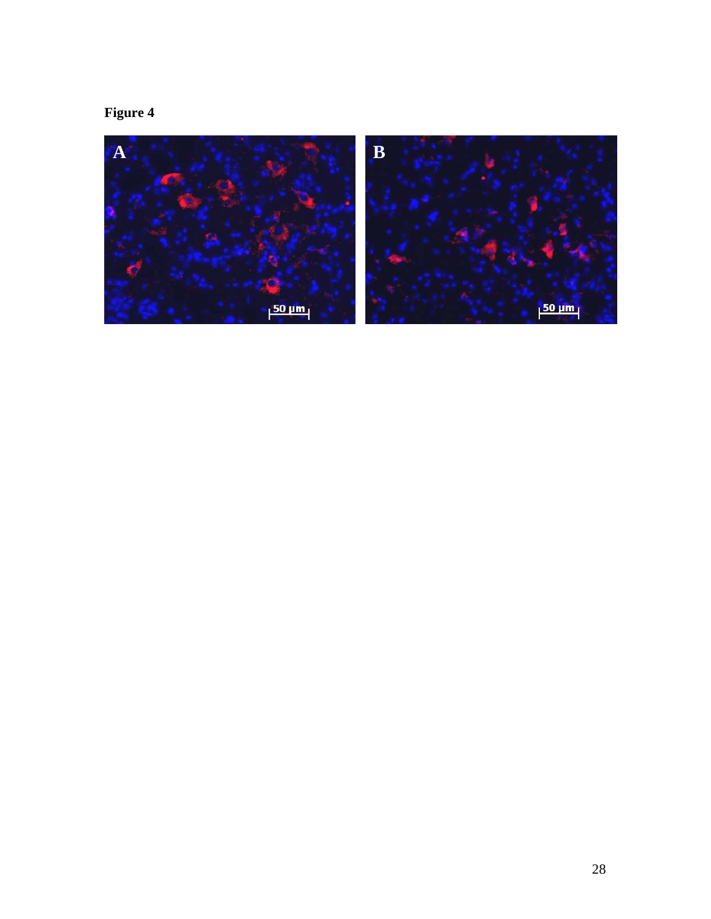# **Figure 4**

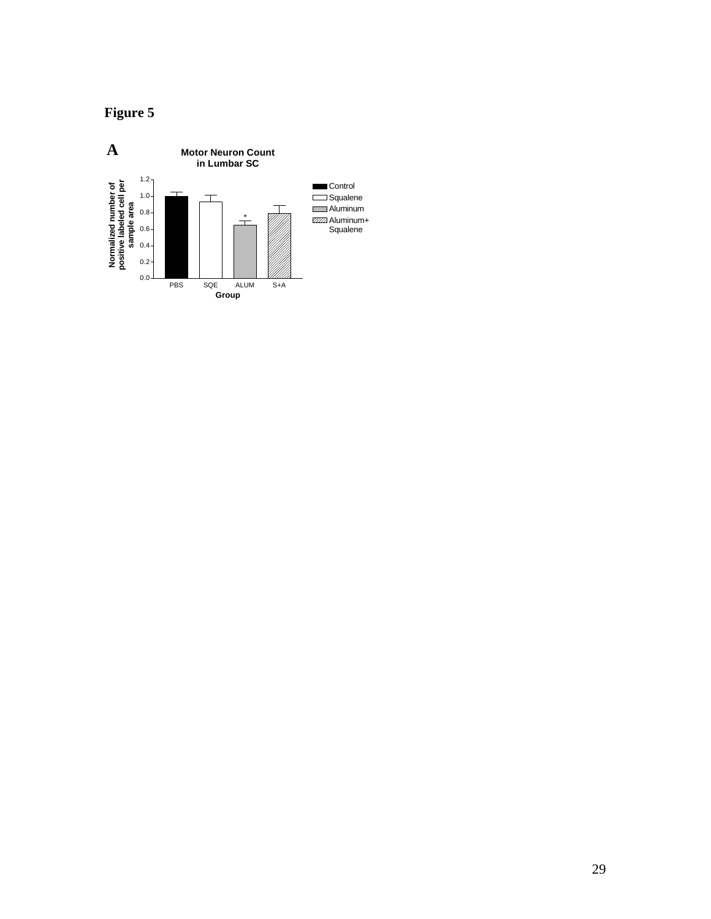

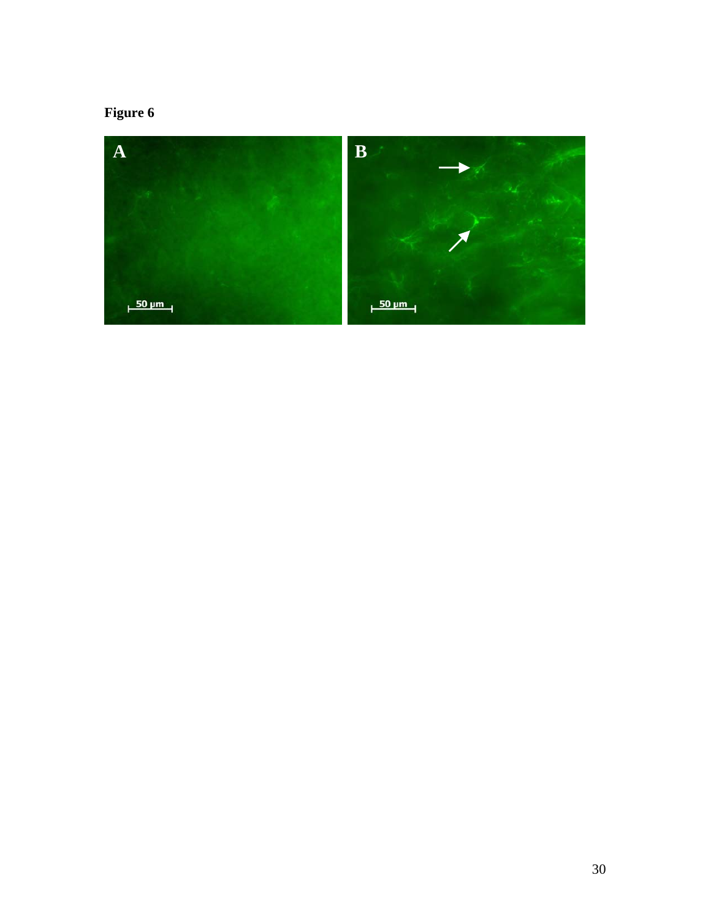# **Figure 6**

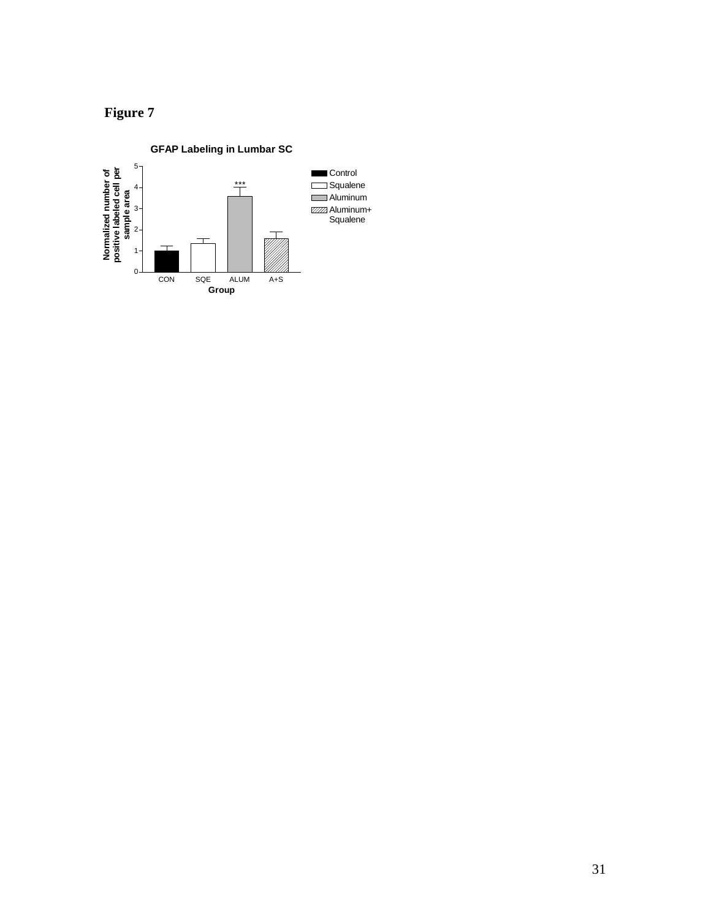

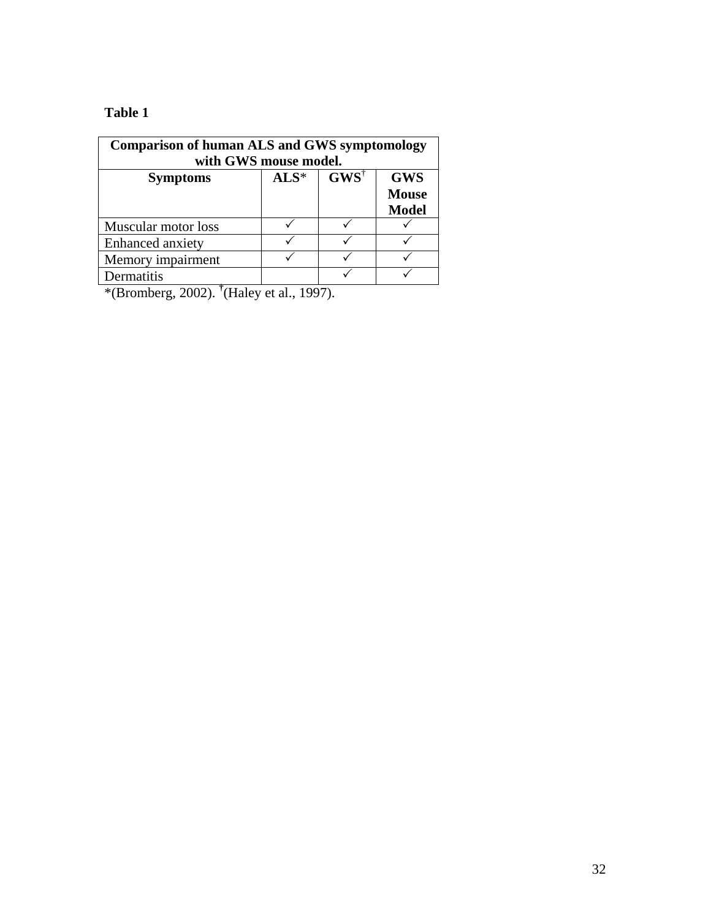# **Table 1**

| <b>Comparison of human ALS and GWS symptomology</b><br>with GWS mouse model. |        |                                            |                                            |
|------------------------------------------------------------------------------|--------|--------------------------------------------|--------------------------------------------|
| <b>Symptoms</b>                                                              | $ALS*$ | $\mathbf{G}\mathbf{W}\mathbf{S}^{\dagger}$ | <b>GWS</b><br><b>Mouse</b><br><b>Model</b> |
| Muscular motor loss                                                          |        |                                            |                                            |
| Enhanced anxiety                                                             |        |                                            |                                            |
| Memory impairment                                                            |        |                                            |                                            |
| Dermatitis                                                                   |        |                                            |                                            |

\*(Bromberg, 2002). **†** (Haley et al., 1997).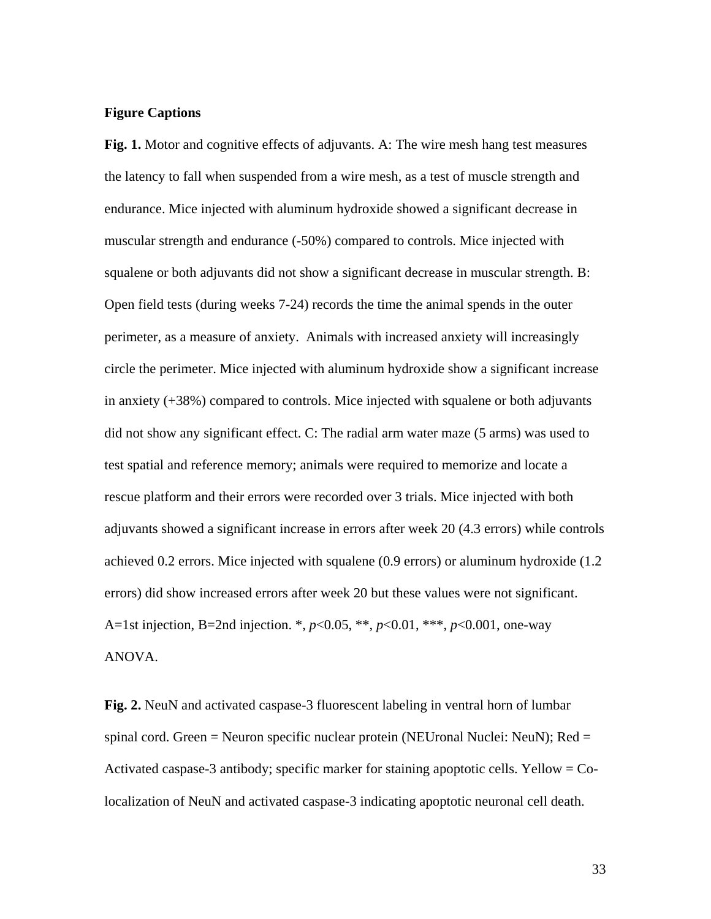# **Figure Captions**

**Fig. 1.** Motor and cognitive effects of adjuvants. A: The wire mesh hang test measures the latency to fall when suspended from a wire mesh, as a test of muscle strength and endurance. Mice injected with aluminum hydroxide showed a significant decrease in muscular strength and endurance (-50%) compared to controls. Mice injected with squalene or both adjuvants did not show a significant decrease in muscular strength. B: Open field tests (during weeks 7-24) records the time the animal spends in the outer perimeter, as a measure of anxiety. Animals with increased anxiety will increasingly circle the perimeter. Mice injected with aluminum hydroxide show a significant increase in anxiety (+38%) compared to controls. Mice injected with squalene or both adjuvants did not show any significant effect. C: The radial arm water maze (5 arms) was used to test spatial and reference memory; animals were required to memorize and locate a rescue platform and their errors were recorded over 3 trials. Mice injected with both adjuvants showed a significant increase in errors after week 20 (4.3 errors) while controls achieved 0.2 errors. Mice injected with squalene (0.9 errors) or aluminum hydroxide (1.2 errors) did show increased errors after week 20 but these values were not significant. A=1st injection, B=2nd injection. \*, *p*<0.05, \*\*, *p*<0.01, \*\*\*, *p*<0.001, one-way ANOVA.

**Fig. 2.** NeuN and activated caspase-3 fluorescent labeling in ventral horn of lumbar spinal cord. Green = Neuron specific nuclear protein (NEUronal Nuclei: NeuN); Red = Activated caspase-3 antibody; specific marker for staining apoptotic cells. Yellow = Colocalization of NeuN and activated caspase-3 indicating apoptotic neuronal cell death.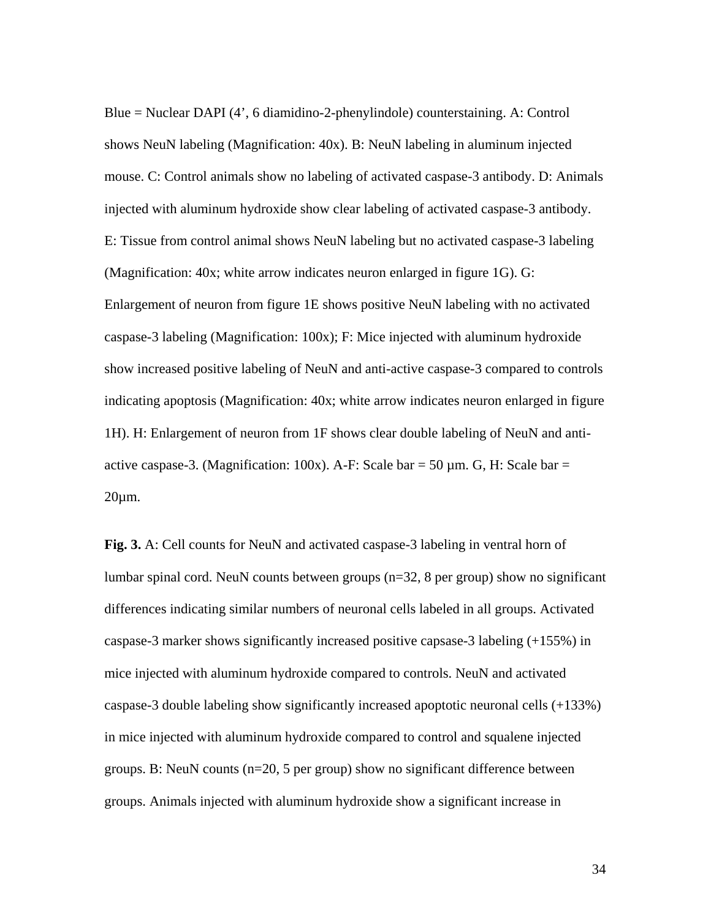Blue = Nuclear DAPI (4', 6 diamidino-2-phenylindole) counterstaining. A: Control shows NeuN labeling (Magnification: 40x). B: NeuN labeling in aluminum injected mouse. C: Control animals show no labeling of activated caspase-3 antibody. D: Animals injected with aluminum hydroxide show clear labeling of activated caspase-3 antibody. E: Tissue from control animal shows NeuN labeling but no activated caspase-3 labeling (Magnification: 40x; white arrow indicates neuron enlarged in figure 1G). G: Enlargement of neuron from figure 1E shows positive NeuN labeling with no activated caspase-3 labeling (Magnification: 100x); F: Mice injected with aluminum hydroxide show increased positive labeling of NeuN and anti-active caspase-3 compared to controls indicating apoptosis (Magnification: 40x; white arrow indicates neuron enlarged in figure 1H). H: Enlargement of neuron from 1F shows clear double labeling of NeuN and antiactive caspase-3. (Magnification: 100x). A-F: Scale bar = 50  $\mu$ m. G, H: Scale bar = 20µm.

**Fig. 3.** A: Cell counts for NeuN and activated caspase-3 labeling in ventral horn of lumbar spinal cord. NeuN counts between groups (n=32, 8 per group) show no significant differences indicating similar numbers of neuronal cells labeled in all groups. Activated caspase-3 marker shows significantly increased positive capsase-3 labeling (+155%) in mice injected with aluminum hydroxide compared to controls. NeuN and activated caspase-3 double labeling show significantly increased apoptotic neuronal cells (+133%) in mice injected with aluminum hydroxide compared to control and squalene injected groups. B: NeuN counts (n=20, 5 per group) show no significant difference between groups. Animals injected with aluminum hydroxide show a significant increase in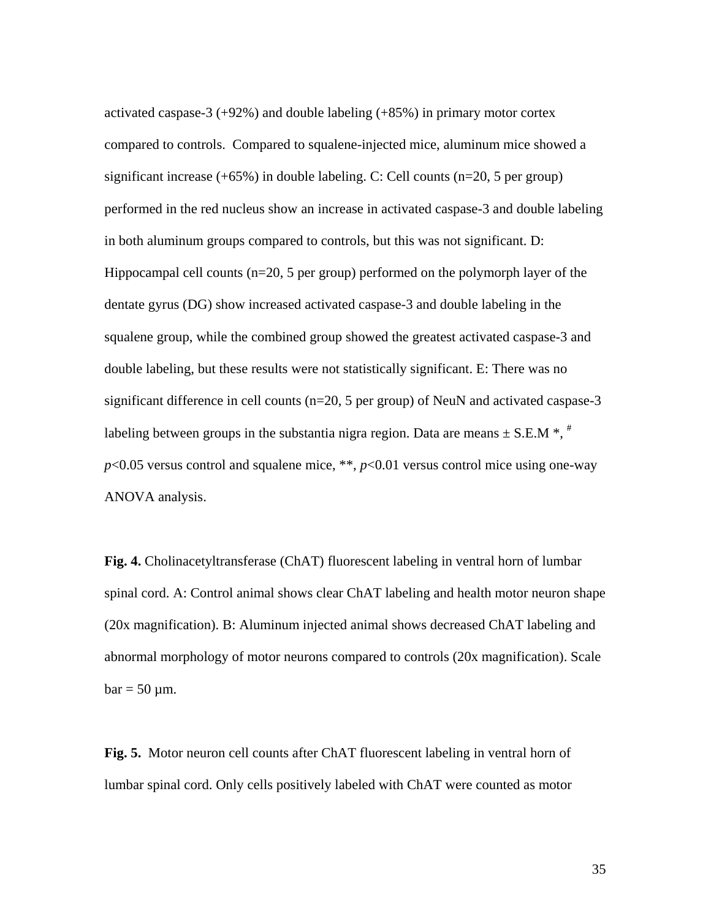activated caspase-3 (+92%) and double labeling (+85%) in primary motor cortex compared to controls. Compared to squalene-injected mice, aluminum mice showed a significant increase  $(+65%)$  in double labeling. C: Cell counts  $(n=20, 5$  per group) performed in the red nucleus show an increase in activated caspase-3 and double labeling in both aluminum groups compared to controls, but this was not significant. D: Hippocampal cell counts (n=20, 5 per group) performed on the polymorph layer of the dentate gyrus (DG) show increased activated caspase-3 and double labeling in the squalene group, while the combined group showed the greatest activated caspase-3 and double labeling, but these results were not statistically significant. E: There was no significant difference in cell counts (n=20, 5 per group) of NeuN and activated caspase-3 labeling between groups in the substantia nigra region. Data are means  $\pm$  S.E.M  $*$ ,  $*$  $p<0.05$  versus control and squalene mice, \*\*,  $p<0.01$  versus control mice using one-way ANOVA analysis.

**Fig. 4.** Cholinacetyltransferase (ChAT) fluorescent labeling in ventral horn of lumbar spinal cord. A: Control animal shows clear ChAT labeling and health motor neuron shape (20x magnification). B: Aluminum injected animal shows decreased ChAT labeling and abnormal morphology of motor neurons compared to controls (20x magnification). Scale  $bar = 50 \mu m$ .

**Fig. 5.** Motor neuron cell counts after ChAT fluorescent labeling in ventral horn of lumbar spinal cord. Only cells positively labeled with ChAT were counted as motor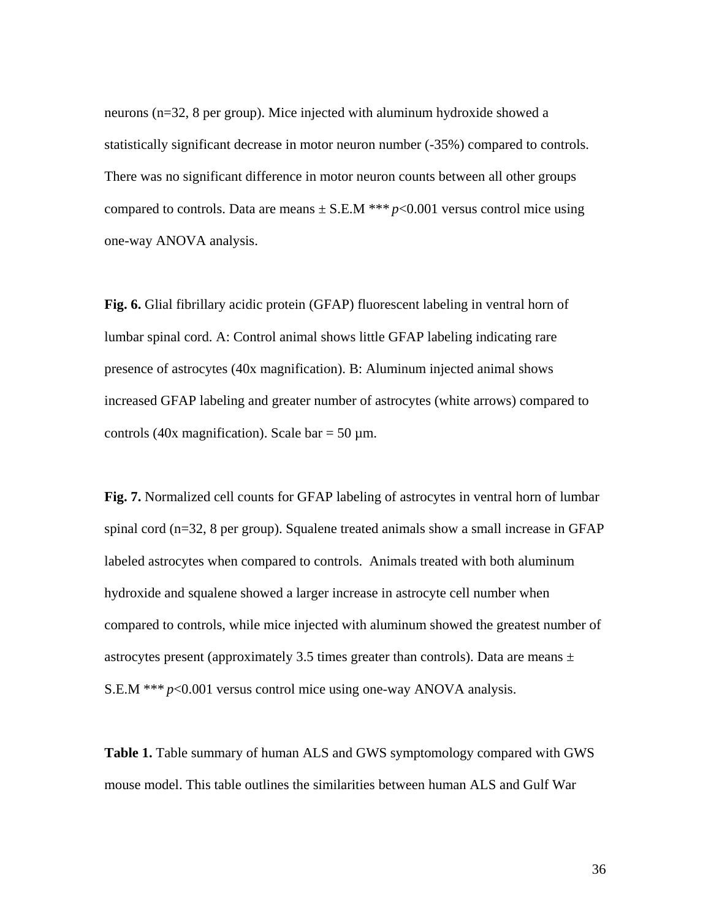neurons (n=32, 8 per group). Mice injected with aluminum hydroxide showed a statistically significant decrease in motor neuron number (-35%) compared to controls. There was no significant difference in motor neuron counts between all other groups compared to controls. Data are means  $\pm$  S.E.M \*\*\*  $p$  < 0.001 versus control mice using one-way ANOVA analysis.

**Fig. 6.** Glial fibrillary acidic protein (GFAP) fluorescent labeling in ventral horn of lumbar spinal cord. A: Control animal shows little GFAP labeling indicating rare presence of astrocytes (40x magnification). B: Aluminum injected animal shows increased GFAP labeling and greater number of astrocytes (white arrows) compared to controls (40x magnification). Scale bar = 50  $\mu$ m.

**Fig. 7.** Normalized cell counts for GFAP labeling of astrocytes in ventral horn of lumbar spinal cord (n=32, 8 per group). Squalene treated animals show a small increase in GFAP labeled astrocytes when compared to controls. Animals treated with both aluminum hydroxide and squalene showed a larger increase in astrocyte cell number when compared to controls, while mice injected with aluminum showed the greatest number of astrocytes present (approximately 3.5 times greater than controls). Data are means  $\pm$ S.E.M \*\*\* *p*<0.001 versus control mice using one-way ANOVA analysis.

**Table 1.** Table summary of human ALS and GWS symptomology compared with GWS mouse model. This table outlines the similarities between human ALS and Gulf War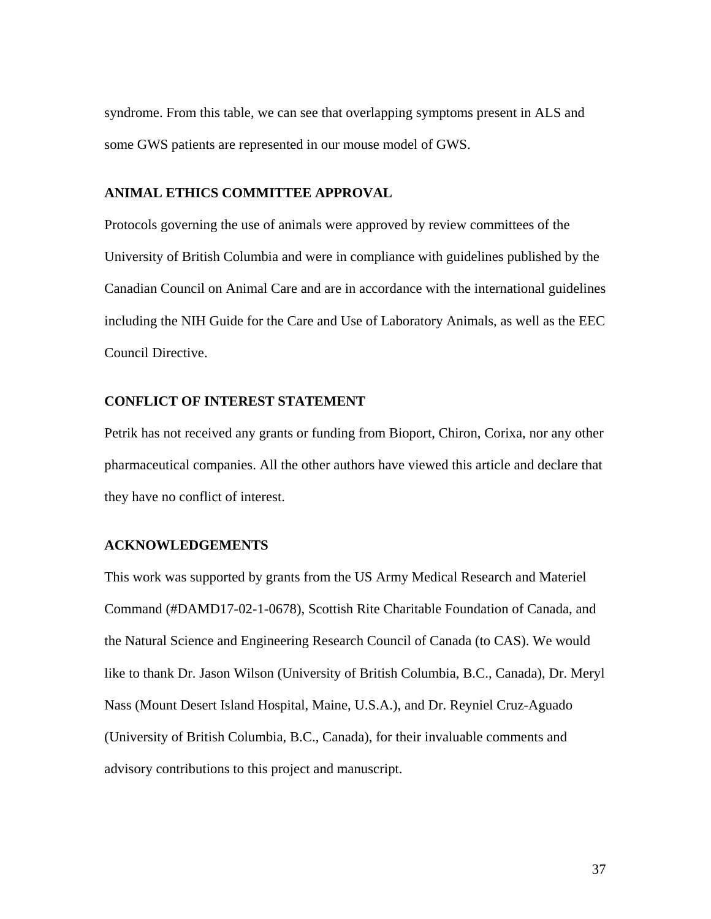syndrome. From this table, we can see that overlapping symptoms present in ALS and some GWS patients are represented in our mouse model of GWS.

# **ANIMAL ETHICS COMMITTEE APPROVAL**

Protocols governing the use of animals were approved by review committees of the University of British Columbia and were in compliance with guidelines published by the Canadian Council on Animal Care and are in accordance with the international guidelines including the NIH Guide for the Care and Use of Laboratory Animals, as well as the EEC Council Directive.

# **CONFLICT OF INTEREST STATEMENT**

Petrik has not received any grants or funding from Bioport, Chiron, Corixa, nor any other pharmaceutical companies. All the other authors have viewed this article and declare that they have no conflict of interest.

# **ACKNOWLEDGEMENTS**

This work was supported by grants from the US Army Medical Research and Materiel Command (#DAMD17-02-1-0678), Scottish Rite Charitable Foundation of Canada, and the Natural Science and Engineering Research Council of Canada (to CAS). We would like to thank Dr. Jason Wilson (University of British Columbia, B.C., Canada), Dr. Meryl Nass (Mount Desert Island Hospital, Maine, U.S.A.), and Dr. Reyniel Cruz-Aguado (University of British Columbia, B.C., Canada), for their invaluable comments and advisory contributions to this project and manuscript.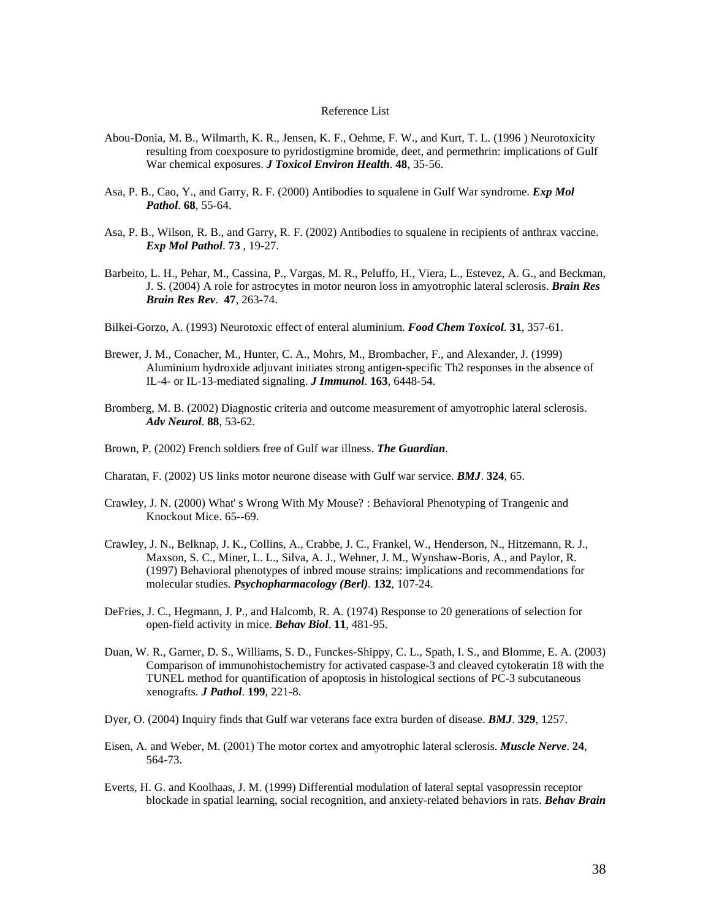#### Reference List

- Abou-Donia, M. B., Wilmarth, K. R., Jensen, K. F., Oehme, F. W., and Kurt, T. L. (1996 ) Neurotoxicity resulting from coexposure to pyridostigmine bromide, deet, and permethrin: implications of Gulf War chemical exposures. *J Toxicol Environ Health*. **48**, 35-56.
- Asa, P. B., Cao, Y., and Garry, R. F. (2000) Antibodies to squalene in Gulf War syndrome. *Exp Mol Pathol*. **68**, 55-64.
- Asa, P. B., Wilson, R. B., and Garry, R. F. (2002) Antibodies to squalene in recipients of anthrax vaccine. *Exp Mol Pathol*. **73** , 19-27.
- Barbeito, L. H., Pehar, M., Cassina, P., Vargas, M. R., Peluffo, H., Viera, L., Estevez, A. G., and Beckman, J. S. (2004) A role for astrocytes in motor neuron loss in amyotrophic lateral sclerosis. *Brain Res Brain Res Rev*. **47**, 263-74.
- Bilkei-Gorzo, A. (1993) Neurotoxic effect of enteral aluminium. *Food Chem Toxicol*. **31**, 357-61.
- Brewer, J. M., Conacher, M., Hunter, C. A., Mohrs, M., Brombacher, F., and Alexander, J. (1999) Aluminium hydroxide adjuvant initiates strong antigen-specific Th2 responses in the absence of IL-4- or IL-13-mediated signaling. *J Immunol*. **163**, 6448-54.
- Bromberg, M. B. (2002) Diagnostic criteria and outcome measurement of amyotrophic lateral sclerosis. *Adv Neurol*. **88**, 53-62.
- Brown, P. (2002) French soldiers free of Gulf war illness. *The Guardian*.
- Charatan, F. (2002) US links motor neurone disease with Gulf war service. *BMJ*. **324**, 65.
- Crawley, J. N. (2000) What' s Wrong With My Mouse? : Behavioral Phenotyping of Trangenic and Knockout Mice. 65--69.
- Crawley, J. N., Belknap, J. K., Collins, A., Crabbe, J. C., Frankel, W., Henderson, N., Hitzemann, R. J., Maxson, S. C., Miner, L. L., Silva, A. J., Wehner, J. M., Wynshaw-Boris, A., and Paylor, R. (1997) Behavioral phenotypes of inbred mouse strains: implications and recommendations for molecular studies. *Psychopharmacology (Berl)*. **132**, 107-24.
- DeFries, J. C., Hegmann, J. P., and Halcomb, R. A. (1974) Response to 20 generations of selection for open-field activity in mice. *Behav Biol*. **11**, 481-95.
- Duan, W. R., Garner, D. S., Williams, S. D., Funckes-Shippy, C. L., Spath, I. S., and Blomme, E. A. (2003) Comparison of immunohistochemistry for activated caspase-3 and cleaved cytokeratin 18 with the TUNEL method for quantification of apoptosis in histological sections of PC-3 subcutaneous xenografts. *J Pathol*. **199**, 221-8.
- Dyer, O. (2004) Inquiry finds that Gulf war veterans face extra burden of disease. *BMJ*. **329**, 1257.
- Eisen, A. and Weber, M. (2001) The motor cortex and amyotrophic lateral sclerosis. *Muscle Nerve*. **24**, 564-73.
- Everts, H. G. and Koolhaas, J. M. (1999) Differential modulation of lateral septal vasopressin receptor blockade in spatial learning, social recognition, and anxiety-related behaviors in rats. *Behav Brain*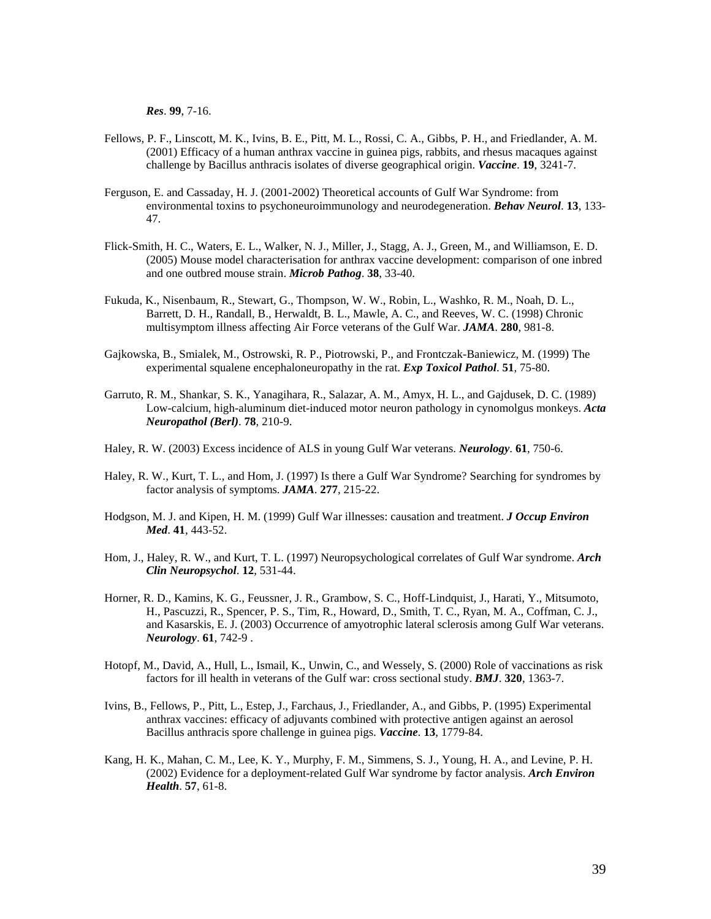*Res*. **99**, 7-16.

- Fellows, P. F., Linscott, M. K., Ivins, B. E., Pitt, M. L., Rossi, C. A., Gibbs, P. H., and Friedlander, A. M. (2001) Efficacy of a human anthrax vaccine in guinea pigs, rabbits, and rhesus macaques against challenge by Bacillus anthracis isolates of diverse geographical origin. *Vaccine*. **19**, 3241-7.
- Ferguson, E. and Cassaday, H. J. (2001-2002) Theoretical accounts of Gulf War Syndrome: from environmental toxins to psychoneuroimmunology and neurodegeneration. *Behav Neurol*. **13**, 133- 47.
- Flick-Smith, H. C., Waters, E. L., Walker, N. J., Miller, J., Stagg, A. J., Green, M., and Williamson, E. D. (2005) Mouse model characterisation for anthrax vaccine development: comparison of one inbred and one outbred mouse strain. *Microb Pathog*. **38**, 33-40.
- Fukuda, K., Nisenbaum, R., Stewart, G., Thompson, W. W., Robin, L., Washko, R. M., Noah, D. L., Barrett, D. H., Randall, B., Herwaldt, B. L., Mawle, A. C., and Reeves, W. C. (1998) Chronic multisymptom illness affecting Air Force veterans of the Gulf War. *JAMA*. **280**, 981-8.
- Gajkowska, B., Smialek, M., Ostrowski, R. P., Piotrowski, P., and Frontczak-Baniewicz, M. (1999) The experimental squalene encephaloneuropathy in the rat. *Exp Toxicol Pathol*. **51**, 75-80.
- Garruto, R. M., Shankar, S. K., Yanagihara, R., Salazar, A. M., Amyx, H. L., and Gajdusek, D. C. (1989) Low-calcium, high-aluminum diet-induced motor neuron pathology in cynomolgus monkeys. *Acta Neuropathol (Berl)*. **78**, 210-9.
- Haley, R. W. (2003) Excess incidence of ALS in young Gulf War veterans. *Neurology*. **61**, 750-6.
- Haley, R. W., Kurt, T. L., and Hom, J. (1997) Is there a Gulf War Syndrome? Searching for syndromes by factor analysis of symptoms. *JAMA*. **277**, 215-22.
- Hodgson, M. J. and Kipen, H. M. (1999) Gulf War illnesses: causation and treatment. *J Occup Environ Med*. **41**, 443-52.
- Hom, J., Haley, R. W., and Kurt, T. L. (1997) Neuropsychological correlates of Gulf War syndrome. *Arch Clin Neuropsychol*. **12**, 531-44.
- Horner, R. D., Kamins, K. G., Feussner, J. R., Grambow, S. C., Hoff-Lindquist, J., Harati, Y., Mitsumoto, H., Pascuzzi, R., Spencer, P. S., Tim, R., Howard, D., Smith, T. C., Ryan, M. A., Coffman, C. J., and Kasarskis, E. J. (2003) Occurrence of amyotrophic lateral sclerosis among Gulf War veterans. *Neurology*. **61**, 742-9 .
- Hotopf, M., David, A., Hull, L., Ismail, K., Unwin, C., and Wessely, S. (2000) Role of vaccinations as risk factors for ill health in veterans of the Gulf war: cross sectional study. *BMJ*. **320**, 1363-7.
- Ivins, B., Fellows, P., Pitt, L., Estep, J., Farchaus, J., Friedlander, A., and Gibbs, P. (1995) Experimental anthrax vaccines: efficacy of adjuvants combined with protective antigen against an aerosol Bacillus anthracis spore challenge in guinea pigs. *Vaccine*. **13**, 1779-84.
- Kang, H. K., Mahan, C. M., Lee, K. Y., Murphy, F. M., Simmens, S. J., Young, H. A., and Levine, P. H. (2002) Evidence for a deployment-related Gulf War syndrome by factor analysis. *Arch Environ Health*. **57**, 61-8.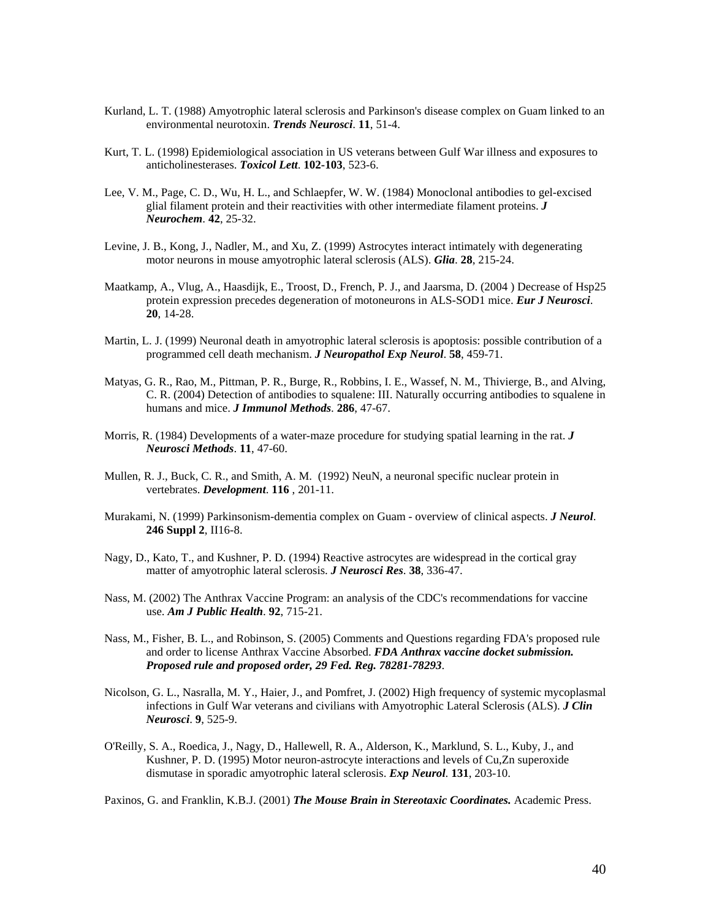- Kurland, L. T. (1988) Amyotrophic lateral sclerosis and Parkinson's disease complex on Guam linked to an environmental neurotoxin. *Trends Neurosci*. **11**, 51-4.
- Kurt, T. L. (1998) Epidemiological association in US veterans between Gulf War illness and exposures to anticholinesterases. *Toxicol Lett*. **102-103**, 523-6.
- Lee, V. M., Page, C. D., Wu, H. L., and Schlaepfer, W. W. (1984) Monoclonal antibodies to gel-excised glial filament protein and their reactivities with other intermediate filament proteins. *J Neurochem*. **42**, 25-32.
- Levine, J. B., Kong, J., Nadler, M., and Xu, Z. (1999) Astrocytes interact intimately with degenerating motor neurons in mouse amyotrophic lateral sclerosis (ALS). *Glia*. **28**, 215-24.
- Maatkamp, A., Vlug, A., Haasdijk, E., Troost, D., French, P. J., and Jaarsma, D. (2004 ) Decrease of Hsp25 protein expression precedes degeneration of motoneurons in ALS-SOD1 mice. *Eur J Neurosci*. **20**, 14-28.
- Martin, L. J. (1999) Neuronal death in amyotrophic lateral sclerosis is apoptosis: possible contribution of a programmed cell death mechanism. *J Neuropathol Exp Neurol*. **58**, 459-71.
- Matyas, G. R., Rao, M., Pittman, P. R., Burge, R., Robbins, I. E., Wassef, N. M., Thivierge, B., and Alving, C. R. (2004) Detection of antibodies to squalene: III. Naturally occurring antibodies to squalene in humans and mice. *J Immunol Methods*. **286**, 47-67.
- Morris, R. (1984) Developments of a water-maze procedure for studying spatial learning in the rat. *J Neurosci Methods*. **11**, 47-60.
- Mullen, R. J., Buck, C. R., and Smith, A. M. (1992) NeuN, a neuronal specific nuclear protein in vertebrates. *Development*. **116** , 201-11.
- Murakami, N. (1999) Parkinsonism-dementia complex on Guam overview of clinical aspects. *J Neurol*. **246 Suppl 2**, II16-8.
- Nagy, D., Kato, T., and Kushner, P. D. (1994) Reactive astrocytes are widespread in the cortical gray matter of amyotrophic lateral sclerosis. *J Neurosci Res*. **38**, 336-47.
- Nass, M. (2002) The Anthrax Vaccine Program: an analysis of the CDC's recommendations for vaccine use. *Am J Public Health*. **92**, 715-21.
- Nass, M., Fisher, B. L., and Robinson, S. (2005) Comments and Questions regarding FDA's proposed rule and order to license Anthrax Vaccine Absorbed. *FDA Anthrax vaccine docket submission. Proposed rule and proposed order, 29 Fed. Reg. 78281-78293*.
- Nicolson, G. L., Nasralla, M. Y., Haier, J., and Pomfret, J. (2002) High frequency of systemic mycoplasmal infections in Gulf War veterans and civilians with Amyotrophic Lateral Sclerosis (ALS). *J Clin Neurosci*. **9**, 525-9.
- O'Reilly, S. A., Roedica, J., Nagy, D., Hallewell, R. A., Alderson, K., Marklund, S. L., Kuby, J., and Kushner, P. D. (1995) Motor neuron-astrocyte interactions and levels of Cu,Zn superoxide dismutase in sporadic amyotrophic lateral sclerosis. *Exp Neurol*. **131**, 203-10.

Paxinos, G. and Franklin, K.B.J. (2001) *The Mouse Brain in Stereotaxic Coordinates.* Academic Press.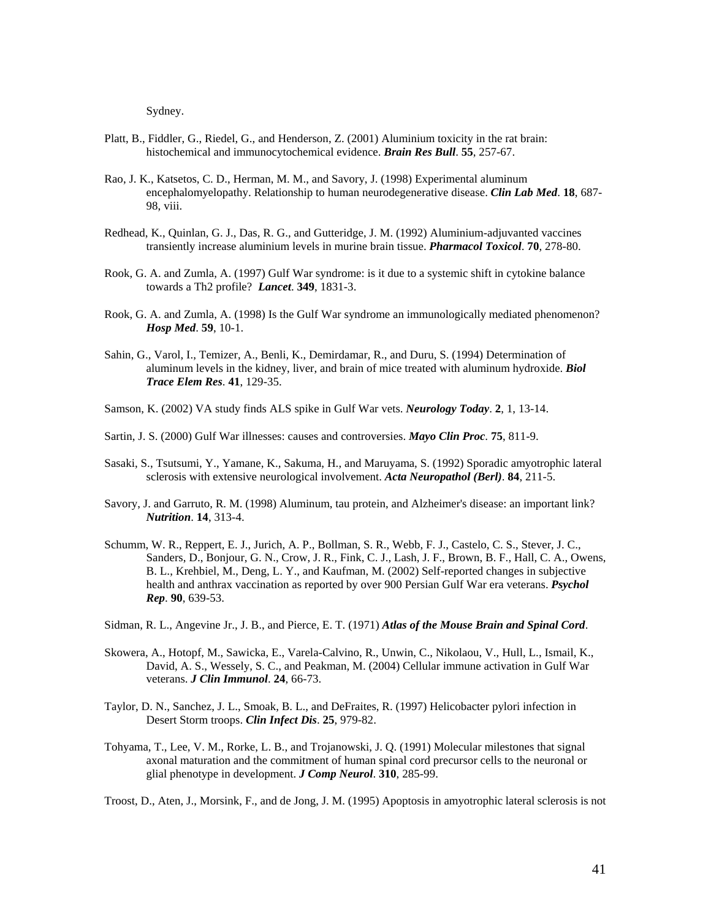Sydney.

- Platt, B., Fiddler, G., Riedel, G., and Henderson, Z. (2001) Aluminium toxicity in the rat brain: histochemical and immunocytochemical evidence. *Brain Res Bull*. **55**, 257-67.
- Rao, J. K., Katsetos, C. D., Herman, M. M., and Savory, J. (1998) Experimental aluminum encephalomyelopathy. Relationship to human neurodegenerative disease. *Clin Lab Med*. **18**, 687- 98, viii.
- Redhead, K., Quinlan, G. J., Das, R. G., and Gutteridge, J. M. (1992) Aluminium-adjuvanted vaccines transiently increase aluminium levels in murine brain tissue. *Pharmacol Toxicol*. **70**, 278-80.
- Rook, G. A. and Zumla, A. (1997) Gulf War syndrome: is it due to a systemic shift in cytokine balance towards a Th2 profile? *Lancet*. **349**, 1831-3.
- Rook, G. A. and Zumla, A. (1998) Is the Gulf War syndrome an immunologically mediated phenomenon? *Hosp Med*. **59**, 10-1.
- Sahin, G., Varol, I., Temizer, A., Benli, K., Demirdamar, R., and Duru, S. (1994) Determination of aluminum levels in the kidney, liver, and brain of mice treated with aluminum hydroxide. *Biol Trace Elem Res*. **41**, 129-35.
- Samson, K. (2002) VA study finds ALS spike in Gulf War vets. *Neurology Today*. **2**, 1, 13-14.
- Sartin, J. S. (2000) Gulf War illnesses: causes and controversies. *Mayo Clin Proc*. **75**, 811-9.
- Sasaki, S., Tsutsumi, Y., Yamane, K., Sakuma, H., and Maruyama, S. (1992) Sporadic amyotrophic lateral sclerosis with extensive neurological involvement. *Acta Neuropathol (Berl)*. **84**, 211-5.
- Savory, J. and Garruto, R. M. (1998) Aluminum, tau protein, and Alzheimer's disease: an important link? *Nutrition*. **14**, 313-4.
- Schumm, W. R., Reppert, E. J., Jurich, A. P., Bollman, S. R., Webb, F. J., Castelo, C. S., Stever, J. C., Sanders, D., Bonjour, G. N., Crow, J. R., Fink, C. J., Lash, J. F., Brown, B. F., Hall, C. A., Owens, B. L., Krehbiel, M., Deng, L. Y., and Kaufman, M. (2002) Self-reported changes in subjective health and anthrax vaccination as reported by over 900 Persian Gulf War era veterans. *Psychol Rep*. **90**, 639-53.
- Sidman, R. L., Angevine Jr., J. B., and Pierce, E. T. (1971) *Atlas of the Mouse Brain and Spinal Cord*.
- Skowera, A., Hotopf, M., Sawicka, E., Varela-Calvino, R., Unwin, C., Nikolaou, V., Hull, L., Ismail, K., David, A. S., Wessely, S. C., and Peakman, M. (2004) Cellular immune activation in Gulf War veterans. *J Clin Immunol*. **24**, 66-73.
- Taylor, D. N., Sanchez, J. L., Smoak, B. L., and DeFraites, R. (1997) Helicobacter pylori infection in Desert Storm troops. *Clin Infect Dis*. **25**, 979-82.
- Tohyama, T., Lee, V. M., Rorke, L. B., and Trojanowski, J. Q. (1991) Molecular milestones that signal axonal maturation and the commitment of human spinal cord precursor cells to the neuronal or glial phenotype in development. *J Comp Neurol*. **310**, 285-99.

Troost, D., Aten, J., Morsink, F., and de Jong, J. M. (1995) Apoptosis in amyotrophic lateral sclerosis is not